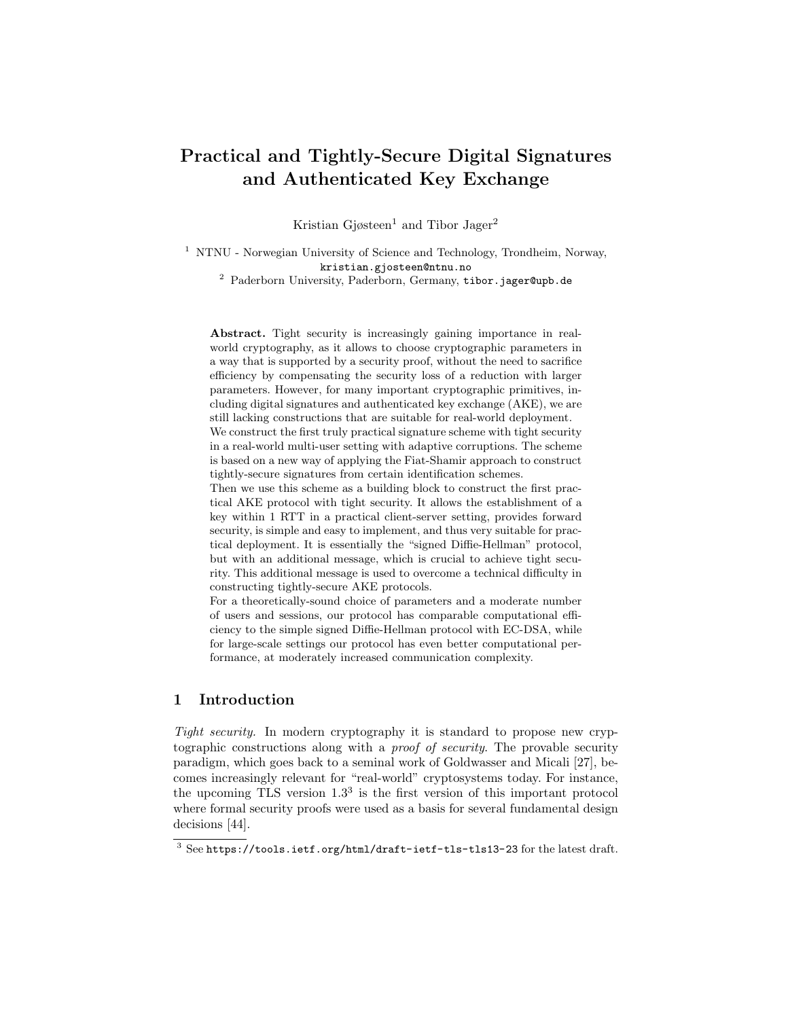# Practical and Tightly-Secure Digital Signatures and Authenticated Key Exchange

Kristian Gjøsteen<sup>1</sup> and Tibor Jager<sup>2</sup>

<sup>1</sup> NTNU - Norwegian University of Science and Technology, Trondheim, Norway, kristian.gjosteen@ntnu.no

<sup>2</sup> Paderborn University, Paderborn, Germany, tibor.jager@upb.de

Abstract. Tight security is increasingly gaining importance in realworld cryptography, as it allows to choose cryptographic parameters in a way that is supported by a security proof, without the need to sacrifice efficiency by compensating the security loss of a reduction with larger parameters. However, for many important cryptographic primitives, including digital signatures and authenticated key exchange (AKE), we are still lacking constructions that are suitable for real-world deployment. We construct the first truly practical signature scheme with tight security

in a real-world multi-user setting with adaptive corruptions. The scheme is based on a new way of applying the Fiat-Shamir approach to construct tightly-secure signatures from certain identification schemes.

Then we use this scheme as a building block to construct the first practical AKE protocol with tight security. It allows the establishment of a key within 1 RTT in a practical client-server setting, provides forward security, is simple and easy to implement, and thus very suitable for practical deployment. It is essentially the "signed Diffie-Hellman" protocol, but with an additional message, which is crucial to achieve tight security. This additional message is used to overcome a technical difficulty in constructing tightly-secure AKE protocols.

For a theoretically-sound choice of parameters and a moderate number of users and sessions, our protocol has comparable computational efficiency to the simple signed Diffie-Hellman protocol with EC-DSA, while for large-scale settings our protocol has even better computational performance, at moderately increased communication complexity.

# 1 Introduction

Tight security. In modern cryptography it is standard to propose new cryptographic constructions along with a proof of security. The provable security paradigm, which goes back to a seminal work of Goldwasser and Micali [27], becomes increasingly relevant for "real-world" cryptosystems today. For instance, the upcoming  $TLS$  version  $1.3<sup>3</sup>$  is the first version of this important protocol where formal security proofs were used as a basis for several fundamental design decisions [44].

<sup>&</sup>lt;sup>3</sup> See https://tools.ietf.org/html/draft-ietf-tls-tls13-23 for the latest draft.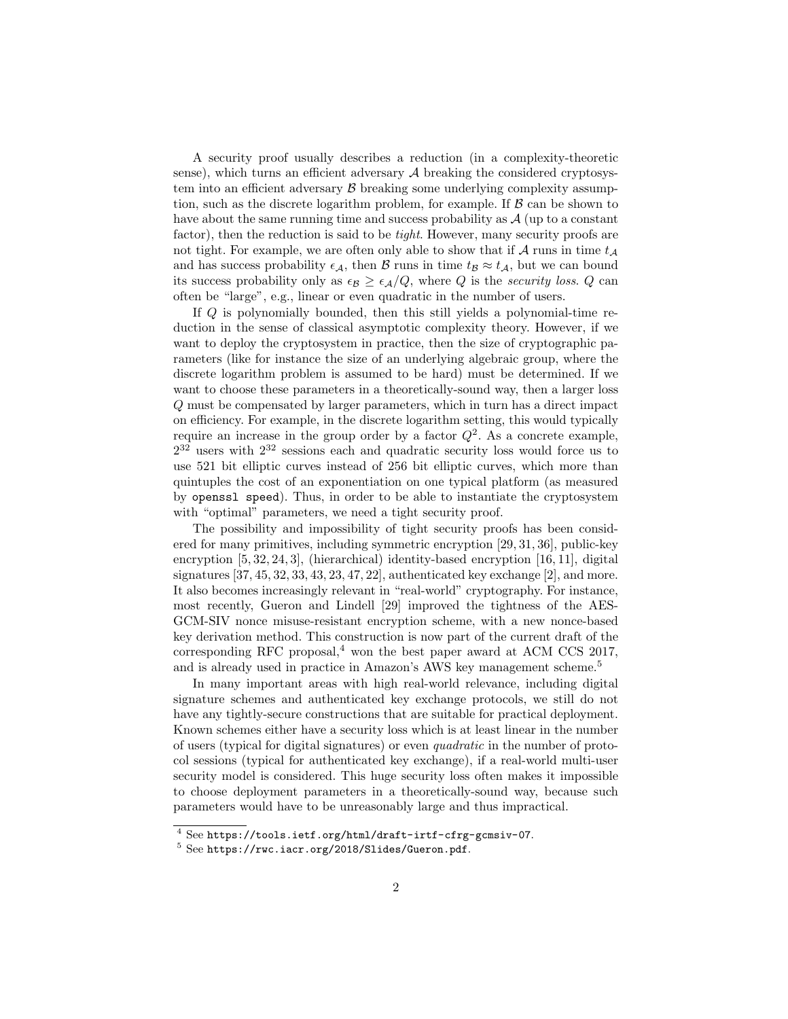A security proof usually describes a reduction (in a complexity-theoretic sense), which turns an efficient adversary  $A$  breaking the considered cryptosystem into an efficient adversary  $\beta$  breaking some underlying complexity assumption, such as the discrete logarithm problem, for example. If  $\beta$  can be shown to have about the same running time and success probability as  $A$  (up to a constant factor), then the reduction is said to be *tight*. However, many security proofs are not tight. For example, we are often only able to show that if  $A$  runs in time  $t_A$ and has success probability  $\epsilon_A$ , then B runs in time  $t_B \approx t_A$ , but we can bound its success probability only as  $\epsilon_B \geq \epsilon_A/Q$ , where Q is the security loss. Q can often be "large", e.g., linear or even quadratic in the number of users.

If Q is polynomially bounded, then this still yields a polynomial-time reduction in the sense of classical asymptotic complexity theory. However, if we want to deploy the cryptosystem in practice, then the size of cryptographic parameters (like for instance the size of an underlying algebraic group, where the discrete logarithm problem is assumed to be hard) must be determined. If we want to choose these parameters in a theoretically-sound way, then a larger loss Q must be compensated by larger parameters, which in turn has a direct impact on efficiency. For example, in the discrete logarithm setting, this would typically require an increase in the group order by a factor  $Q^2$ . As a concrete example, 2 <sup>32</sup> users with 2<sup>32</sup> sessions each and quadratic security loss would force us to use 521 bit elliptic curves instead of 256 bit elliptic curves, which more than quintuples the cost of an exponentiation on one typical platform (as measured by openssl speed). Thus, in order to be able to instantiate the cryptosystem with "optimal" parameters, we need a tight security proof.

The possibility and impossibility of tight security proofs has been considered for many primitives, including symmetric encryption [29, 31, 36], public-key encryption [5, 32, 24, 3], (hierarchical) identity-based encryption [16, 11], digital signatures  $[37, 45, 32, 33, 43, 23, 47, 22]$ , authenticated key exchange  $[2]$ , and more. It also becomes increasingly relevant in "real-world" cryptography. For instance, most recently, Gueron and Lindell [29] improved the tightness of the AES-GCM-SIV nonce misuse-resistant encryption scheme, with a new nonce-based key derivation method. This construction is now part of the current draft of the corresponding RFC proposal, $4$  won the best paper award at ACM CCS 2017, and is already used in practice in Amazon's AWS key management scheme.<sup>5</sup>

In many important areas with high real-world relevance, including digital signature schemes and authenticated key exchange protocols, we still do not have any tightly-secure constructions that are suitable for practical deployment. Known schemes either have a security loss which is at least linear in the number of users (typical for digital signatures) or even quadratic in the number of protocol sessions (typical for authenticated key exchange), if a real-world multi-user security model is considered. This huge security loss often makes it impossible to choose deployment parameters in a theoretically-sound way, because such parameters would have to be unreasonably large and thus impractical.

<sup>4</sup> See https://tools.ietf.org/html/draft-irtf-cfrg-gcmsiv-07.

<sup>&</sup>lt;sup>5</sup> See https://rwc.iacr.org/2018/Slides/Gueron.pdf.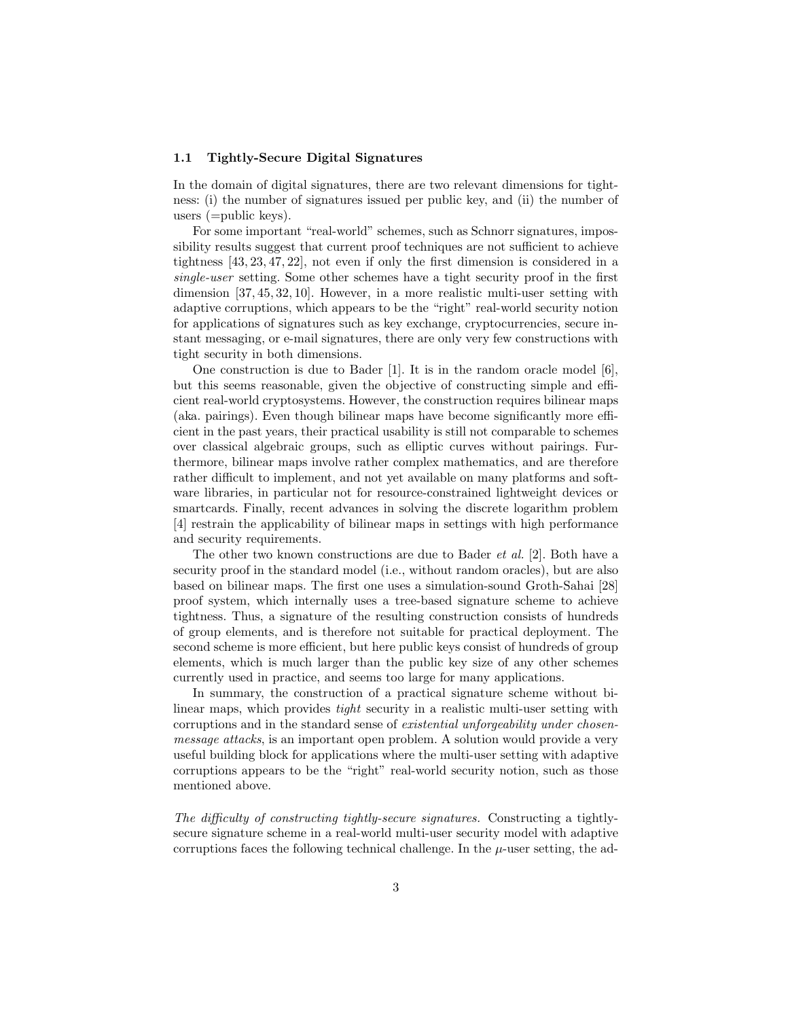#### 1.1 Tightly-Secure Digital Signatures

In the domain of digital signatures, there are two relevant dimensions for tightness: (i) the number of signatures issued per public key, and (ii) the number of users (=public keys).

For some important "real-world" schemes, such as Schnorr signatures, impossibility results suggest that current proof techniques are not sufficient to achieve tightness [43, 23, 47, 22], not even if only the first dimension is considered in a single-user setting. Some other schemes have a tight security proof in the first dimension [37, 45, 32, 10]. However, in a more realistic multi-user setting with adaptive corruptions, which appears to be the "right" real-world security notion for applications of signatures such as key exchange, cryptocurrencies, secure instant messaging, or e-mail signatures, there are only very few constructions with tight security in both dimensions.

One construction is due to Bader [1]. It is in the random oracle model [6], but this seems reasonable, given the objective of constructing simple and efficient real-world cryptosystems. However, the construction requires bilinear maps (aka. pairings). Even though bilinear maps have become significantly more efficient in the past years, their practical usability is still not comparable to schemes over classical algebraic groups, such as elliptic curves without pairings. Furthermore, bilinear maps involve rather complex mathematics, and are therefore rather difficult to implement, and not yet available on many platforms and software libraries, in particular not for resource-constrained lightweight devices or smartcards. Finally, recent advances in solving the discrete logarithm problem [4] restrain the applicability of bilinear maps in settings with high performance and security requirements.

The other two known constructions are due to Bader et al. [2]. Both have a security proof in the standard model (i.e., without random oracles), but are also based on bilinear maps. The first one uses a simulation-sound Groth-Sahai [28] proof system, which internally uses a tree-based signature scheme to achieve tightness. Thus, a signature of the resulting construction consists of hundreds of group elements, and is therefore not suitable for practical deployment. The second scheme is more efficient, but here public keys consist of hundreds of group elements, which is much larger than the public key size of any other schemes currently used in practice, and seems too large for many applications.

In summary, the construction of a practical signature scheme without bilinear maps, which provides tight security in a realistic multi-user setting with corruptions and in the standard sense of *existential unforgeability under chosen*message attacks, is an important open problem. A solution would provide a very useful building block for applications where the multi-user setting with adaptive corruptions appears to be the "right" real-world security notion, such as those mentioned above.

The difficulty of constructing tightly-secure signatures. Constructing a tightlysecure signature scheme in a real-world multi-user security model with adaptive corruptions faces the following technical challenge. In the  $\mu$ -user setting, the ad-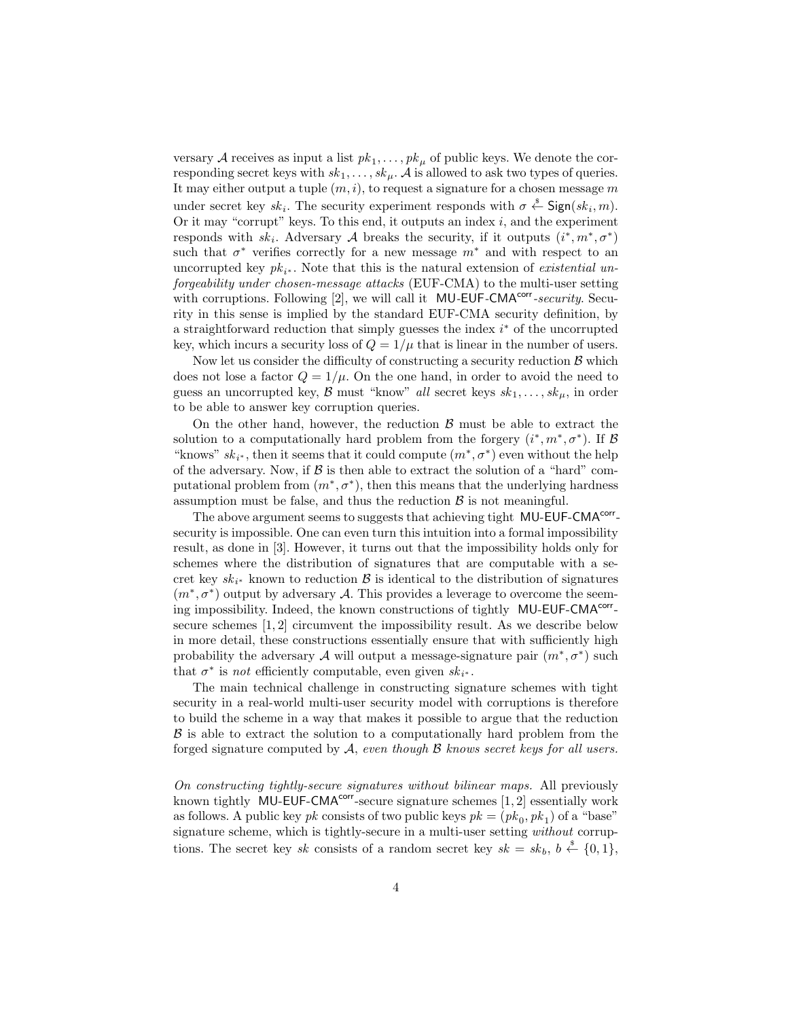versary A receives as input a list  $pk_1, \ldots, pk_\mu$  of public keys. We denote the corresponding secret keys with  $sk_1, \ldots, sk_{\mu}$ . A is allowed to ask two types of queries. It may either output a tuple  $(m, i)$ , to request a signature for a chosen message m under secret key  $sk_i$ . The security experiment responds with  $\sigma \stackrel{\$}{\leftarrow}$  Sign $(sk_i, m)$ . Or it may "corrupt" keys. To this end, it outputs an index  $i$ , and the experiment responds with  $sk_i$ . Adversary A breaks the security, if it outputs  $(i^*, m^*, \sigma^*)$ such that  $\sigma^*$  verifies correctly for a new message  $m^*$  and with respect to an uncorrupted key  $pk_{i^*}$ . Note that this is the natural extension of *existential un*forgeability under chosen-message attacks (EUF-CMA) to the multi-user setting with corruptions. Following  $[2]$ , we will call it MU-EUF-CMA<sup>corr</sup>-security. Security in this sense is implied by the standard EUF-CMA security definition, by a straightforward reduction that simply guesses the index  $i^*$  of the uncorrupted key, which incurs a security loss of  $Q = 1/\mu$  that is linear in the number of users.

Now let us consider the difficulty of constructing a security reduction  $B$  which does not lose a factor  $Q = 1/\mu$ . On the one hand, in order to avoid the need to guess an uncorrupted key,  $\beta$  must "know" all secret keys  $sk_1, \ldots, sk_\mu$ , in order to be able to answer key corruption queries.

On the other hand, however, the reduction  $\beta$  must be able to extract the solution to a computationally hard problem from the forgery  $(i^*, m^*, \sigma^*)$ . If B "knows"  $sk_{i^*}$ , then it seems that it could compute  $(m^*, \sigma^*)$  even without the help of the adversary. Now, if  $\mathcal B$  is then able to extract the solution of a "hard" computational problem from  $(m^*, \sigma^*)$ , then this means that the underlying hardness assumption must be false, and thus the reduction  $\beta$  is not meaningful.

The above argument seems to suggests that achieving tight MU-EUF-CMA<sup>corr</sup>security is impossible. One can even turn this intuition into a formal impossibility result, as done in [3]. However, it turns out that the impossibility holds only for schemes where the distribution of signatures that are computable with a secret key  $sk_{i^*}$  known to reduction  $\mathcal{B}$  is identical to the distribution of signatures  $(m^*, \sigma^*)$  output by adversary A. This provides a leverage to overcome the seeming impossibility. Indeed, the known constructions of tightly MU-EUF-CMA<sup>corr</sup>secure schemes [1, 2] circumvent the impossibility result. As we describe below in more detail, these constructions essentially ensure that with sufficiently high probability the adversary A will output a message-signature pair  $(m^*, \sigma^*)$  such that  $\sigma^*$  is *not* efficiently computable, even given  $sk_{i^*}$ .

The main technical challenge in constructing signature schemes with tight security in a real-world multi-user security model with corruptions is therefore to build the scheme in a way that makes it possible to argue that the reduction  $\beta$  is able to extract the solution to a computationally hard problem from the forged signature computed by  $A$ , even though  $B$  knows secret keys for all users.

On constructing tightly-secure signatures without bilinear maps. All previously known tightly  $MU$ -EUF-CMA<sup>corr</sup>-secure signature schemes [1, 2] essentially work as follows. A public key *pk* consists of two public keys  $pk = (pk_0, pk_1)$  of a "base" signature scheme, which is tightly-secure in a multi-user setting *without* corruptions. The secret key sk consists of a random secret key  $sk = sk_b, b \stackrel{\$}{\leftarrow} \{0,1\},\$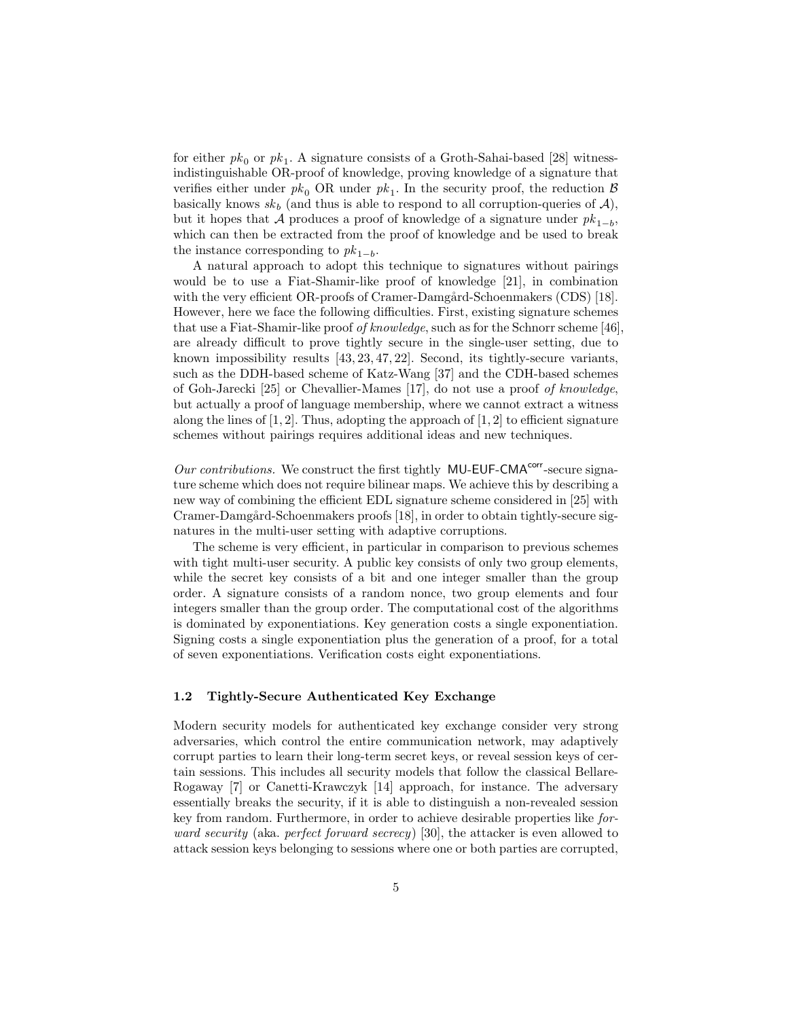for either  $pk_0$  or  $pk_1$ . A signature consists of a Groth-Sahai-based [28] witnessindistinguishable OR-proof of knowledge, proving knowledge of a signature that verifies either under  $pk_0$  OR under  $pk_1$ . In the security proof, the reduction  $B$ basically knows  $sk_b$  (and thus is able to respond to all corruption-queries of  $A$ ), but it hopes that A produces a proof of knowledge of a signature under  $pk_{1-b}$ , which can then be extracted from the proof of knowledge and be used to break the instance corresponding to  $pk_{1-b}$ .

A natural approach to adopt this technique to signatures without pairings would be to use a Fiat-Shamir-like proof of knowledge [21], in combination with the very efficient OR-proofs of Cramer-Damgård-Schoenmakers (CDS) [18]. However, here we face the following difficulties. First, existing signature schemes that use a Fiat-Shamir-like proof of knowledge, such as for the Schnorr scheme [46] are already difficult to prove tightly secure in the single-user setting, due to known impossibility results [43, 23, 47, 22]. Second, its tightly-secure variants, such as the DDH-based scheme of Katz-Wang [37] and the CDH-based schemes of Goh-Jarecki [25] or Chevallier-Mames [17], do not use a proof of knowledge, but actually a proof of language membership, where we cannot extract a witness along the lines of  $[1, 2]$ . Thus, adopting the approach of  $[1, 2]$  to efficient signature schemes without pairings requires additional ideas and new techniques.

Our contributions. We construct the first tightly  $MU$ -EUF-CMA<sup>corr</sup>-secure signature scheme which does not require bilinear maps. We achieve this by describing a new way of combining the efficient EDL signature scheme considered in [25] with Cramer-Damgård-Schoenmakers proofs [18], in order to obtain tightly-secure signatures in the multi-user setting with adaptive corruptions.

The scheme is very efficient, in particular in comparison to previous schemes with tight multi-user security. A public key consists of only two group elements, while the secret key consists of a bit and one integer smaller than the group order. A signature consists of a random nonce, two group elements and four integers smaller than the group order. The computational cost of the algorithms is dominated by exponentiations. Key generation costs a single exponentiation. Signing costs a single exponentiation plus the generation of a proof, for a total of seven exponentiations. Verification costs eight exponentiations.

#### 1.2 Tightly-Secure Authenticated Key Exchange

Modern security models for authenticated key exchange consider very strong adversaries, which control the entire communication network, may adaptively corrupt parties to learn their long-term secret keys, or reveal session keys of certain sessions. This includes all security models that follow the classical Bellare-Rogaway [7] or Canetti-Krawczyk [14] approach, for instance. The adversary essentially breaks the security, if it is able to distinguish a non-revealed session key from random. Furthermore, in order to achieve desirable properties like forward security (aka. perfect forward secrecy) [30], the attacker is even allowed to attack session keys belonging to sessions where one or both parties are corrupted,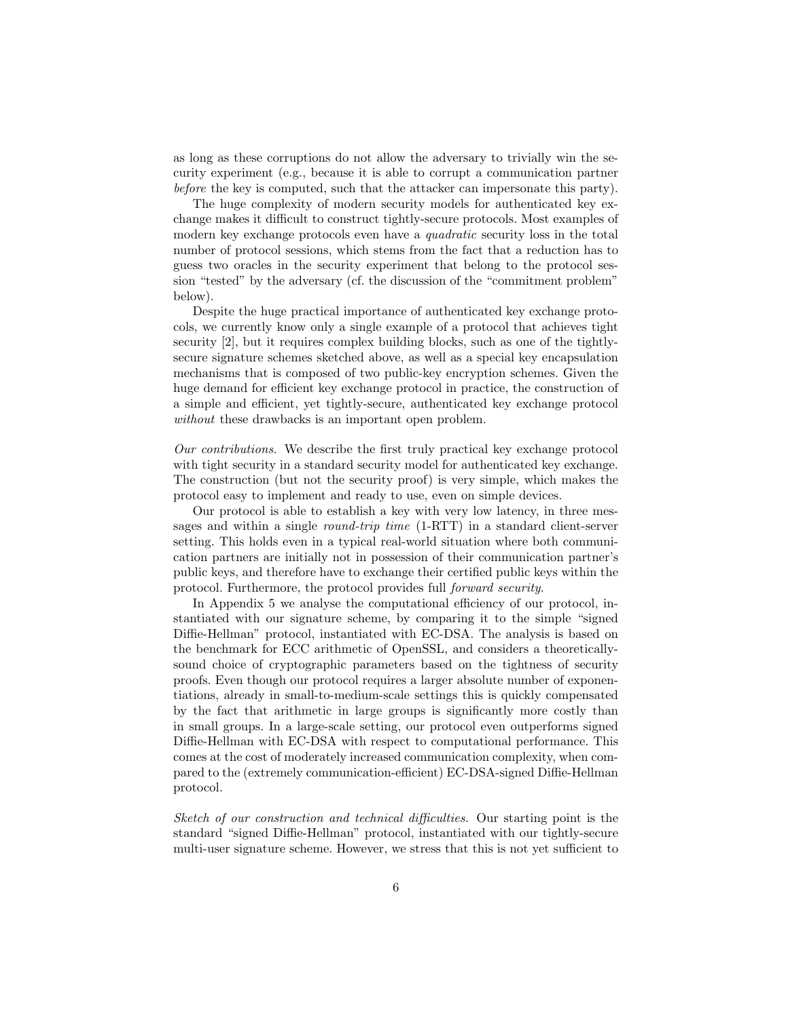as long as these corruptions do not allow the adversary to trivially win the security experiment (e.g., because it is able to corrupt a communication partner before the key is computed, such that the attacker can impersonate this party).

The huge complexity of modern security models for authenticated key exchange makes it difficult to construct tightly-secure protocols. Most examples of modern key exchange protocols even have a *quadratic* security loss in the total number of protocol sessions, which stems from the fact that a reduction has to guess two oracles in the security experiment that belong to the protocol session "tested" by the adversary (cf. the discussion of the "commitment problem" below).

Despite the huge practical importance of authenticated key exchange protocols, we currently know only a single example of a protocol that achieves tight security [2], but it requires complex building blocks, such as one of the tightlysecure signature schemes sketched above, as well as a special key encapsulation mechanisms that is composed of two public-key encryption schemes. Given the huge demand for efficient key exchange protocol in practice, the construction of a simple and efficient, yet tightly-secure, authenticated key exchange protocol without these drawbacks is an important open problem.

Our contributions. We describe the first truly practical key exchange protocol with tight security in a standard security model for authenticated key exchange. The construction (but not the security proof) is very simple, which makes the protocol easy to implement and ready to use, even on simple devices.

Our protocol is able to establish a key with very low latency, in three messages and within a single round-trip time (1-RTT) in a standard client-server setting. This holds even in a typical real-world situation where both communication partners are initially not in possession of their communication partner's public keys, and therefore have to exchange their certified public keys within the protocol. Furthermore, the protocol provides full forward security.

In Appendix 5 we analyse the computational efficiency of our protocol, instantiated with our signature scheme, by comparing it to the simple "signed Diffie-Hellman" protocol, instantiated with EC-DSA. The analysis is based on the benchmark for ECC arithmetic of OpenSSL, and considers a theoreticallysound choice of cryptographic parameters based on the tightness of security proofs. Even though our protocol requires a larger absolute number of exponentiations, already in small-to-medium-scale settings this is quickly compensated by the fact that arithmetic in large groups is significantly more costly than in small groups. In a large-scale setting, our protocol even outperforms signed Diffie-Hellman with EC-DSA with respect to computational performance. This comes at the cost of moderately increased communication complexity, when compared to the (extremely communication-efficient) EC-DSA-signed Diffie-Hellman protocol.

Sketch of our construction and technical difficulties. Our starting point is the standard "signed Diffie-Hellman" protocol, instantiated with our tightly-secure multi-user signature scheme. However, we stress that this is not yet sufficient to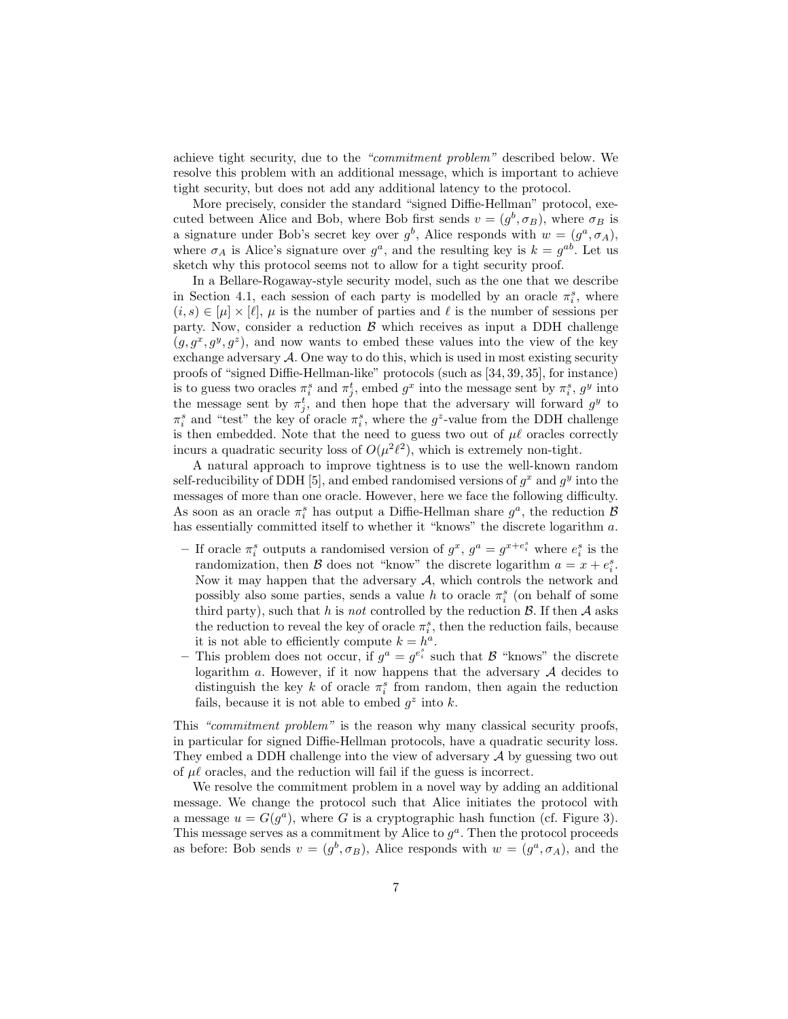achieve tight security, due to the "commitment problem" described below. We resolve this problem with an additional message, which is important to achieve tight security, but does not add any additional latency to the protocol.

More precisely, consider the standard "signed Diffie-Hellman" protocol, executed between Alice and Bob, where Bob first sends  $v = (g^b, \sigma_B)$ , where  $\sigma_B$  is a signature under Bob's secret key over  $g^b$ , Alice responds with  $w = (g^a, \sigma_A)$ , where  $\sigma_A$  is Alice's signature over  $g^a$ , and the resulting key is  $k = g^{ab}$ . Let us sketch why this protocol seems not to allow for a tight security proof.

In a Bellare-Rogaway-style security model, such as the one that we describe in Section 4.1, each session of each party is modelled by an oracle  $\pi_i^s$ , where  $(i, s) \in [\mu] \times [\ell], \mu$  is the number of parties and  $\ell$  is the number of sessions per party. Now, consider a reduction  $\beta$  which receives as input a DDH challenge  $(g, g^x, g^y, g^z)$ , and now wants to embed these values into the view of the key exchange adversary  $A$ . One way to do this, which is used in most existing security proofs of "signed Diffie-Hellman-like" protocols (such as [34, 39, 35], for instance) is to guess two oracles  $\pi_i^s$  and  $\pi_j^t$ , embed  $g^x$  into the message sent by  $\pi_i^s$ ,  $g^y$  into the message sent by  $\pi_j^t$ , and then hope that the adversary will forward  $g^y$  to  $\pi_i^s$  and "test" the key of oracle  $\pi_i^s$ , where the  $g^z$ -value from the DDH challenge is then embedded. Note that the need to guess two out of  $\mu\ell$  oracles correctly incurs a quadratic security loss of  $O(\mu^2 \ell^2)$ , which is extremely non-tight.

A natural approach to improve tightness is to use the well-known random self-reducibility of DDH [5], and embed randomised versions of  $g^x$  and  $g^y$  into the messages of more than one oracle. However, here we face the following difficulty. As soon as an oracle  $\pi_i^s$  has output a Diffie-Hellman share  $g^a$ , the reduction  $\mathcal B$ has essentially committed itself to whether it "knows" the discrete logarithm a.

- If oracle  $\pi_i^s$  outputs a randomised version of  $g^x$ ,  $g^a = g^{x+e_i^s}$  where  $e_i^s$  is the randomization, then  $\mathcal B$  does not "know" the discrete logarithm  $a = x + e_i^s$ . Now it may happen that the adversary  $A$ , which controls the network and possibly also some parties, sends a value  $h$  to oracle  $\pi_i^s$  (on behalf of some third party), such that h is not controlled by the reduction  $\beta$ . If then  $\mathcal A$  asks the reduction to reveal the key of oracle  $\pi_i^s$ , then the reduction fails, because it is not able to efficiently compute  $k = h^a$ .
- This problem does not occur, if  $g^a = g^{e_i^s}$  such that  $\beta$  "knows" the discrete logarithm  $a$ . However, if it now happens that the adversary  $A$  decides to distinguish the key k of oracle  $\pi_i^s$  from random, then again the reduction fails, because it is not able to embed  $g^z$  into k.

This "commitment problem" is the reason why many classical security proofs, in particular for signed Diffie-Hellman protocols, have a quadratic security loss. They embed a DDH challenge into the view of adversary  $A$  by guessing two out of  $\mu\ell$  oracles, and the reduction will fail if the guess is incorrect.

We resolve the commitment problem in a novel way by adding an additional message. We change the protocol such that Alice initiates the protocol with a message  $u = G(g^a)$ , where G is a cryptographic hash function (cf. Figure 3). This message serves as a commitment by Alice to  $g<sup>a</sup>$ . Then the protocol proceeds as before: Bob sends  $v = (g^b, \sigma_B)$ , Alice responds with  $w = (g^a, \sigma_A)$ , and the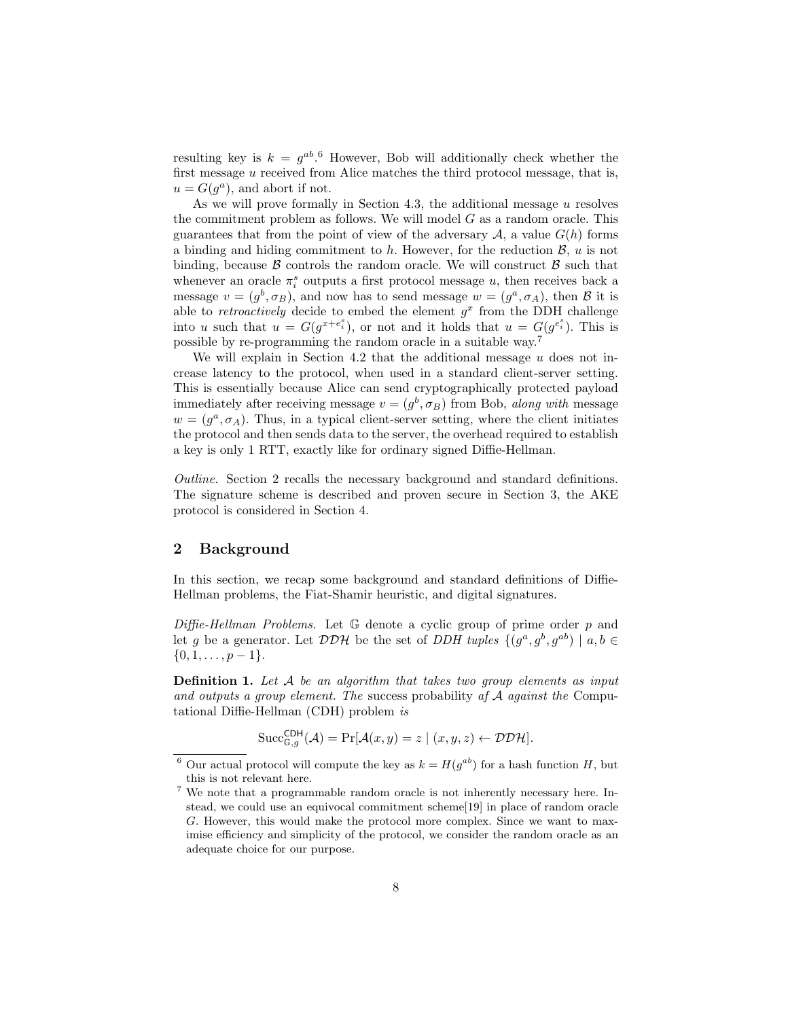resulting key is  $k = g^{ab}$ .<sup>6</sup> However, Bob will additionally check whether the first message u received from Alice matches the third protocol message, that is,  $u = G(g^a)$ , and abort if not.

As we will prove formally in Section 4.3, the additional message  $u$  resolves the commitment problem as follows. We will model  $G$  as a random oracle. This guarantees that from the point of view of the adversary  $A$ , a value  $G(h)$  forms a binding and hiding commitment to h. However, for the reduction  $\mathcal{B}$ , u is not binding, because  $\beta$  controls the random oracle. We will construct  $\beta$  such that whenever an oracle  $\pi_i^s$  outputs a first protocol message u, then receives back a message  $v = (g^b, \sigma_B)$ , and now has to send message  $w = (g^a, \sigma_A)$ , then  $\beta$  it is able to *retroactively* decide to embed the element  $g^x$  from the DDH challenge into u such that  $u = G(g^{x+e_i^s})$ , or not and it holds that  $u = G(g^{e_i^s})$ . This is possible by re-programming the random oracle in a suitable way.<sup>7</sup>

We will explain in Section 4.2 that the additional message  $u$  does not increase latency to the protocol, when used in a standard client-server setting. This is essentially because Alice can send cryptographically protected payload immediately after receiving message  $v = (g^b, \sigma_B)$  from Bob, along with message  $w = (g^a, \sigma_A)$ . Thus, in a typical client-server setting, where the client initiates the protocol and then sends data to the server, the overhead required to establish a key is only 1 RTT, exactly like for ordinary signed Diffie-Hellman.

Outline. Section 2 recalls the necessary background and standard definitions. The signature scheme is described and proven secure in Section 3, the AKE protocol is considered in Section 4.

# 2 Background

In this section, we recap some background and standard definitions of Diffie-Hellman problems, the Fiat-Shamir heuristic, and digital signatures.

Diffie-Hellman Problems. Let G denote a cyclic group of prime order p and let g be a generator. Let  $\mathcal{D}\mathcal{D}\mathcal{H}$  be the set of DDH tuples  $\{(g^a, g^b, g^{ab}) \mid a, b \in$  $\{0, 1, \ldots, p-1\}.$ 

**Definition 1.** Let  $A$  be an algorithm that takes two group elements as input and outputs a group element. The success probability af  $A$  against the Computational Diffie-Hellman (CDH) problem is

$$
\mathrm{Succ}_{\mathbb{G},g}^{\mathsf{CDH}}(\mathcal{A}) = \Pr[\mathcal{A}(x,y) = z \mid (x,y,z) \leftarrow \mathcal{DDH}].
$$

<sup>&</sup>lt;sup>6</sup> Our actual protocol will compute the key as  $k = H(g^{ab})$  for a hash function H, but this is not relevant here.

<sup>7</sup> We note that a programmable random oracle is not inherently necessary here. Instead, we could use an equivocal commitment scheme[19] in place of random oracle G. However, this would make the protocol more complex. Since we want to maximise efficiency and simplicity of the protocol, we consider the random oracle as an adequate choice for our purpose.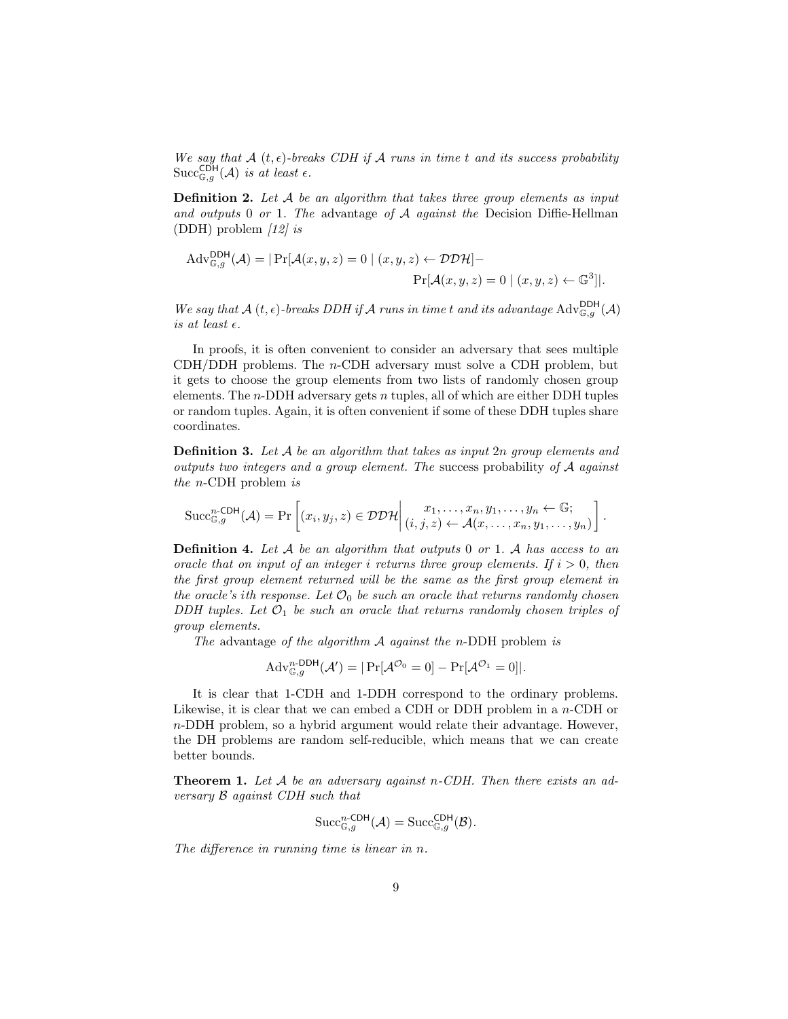We say that  $A(t, \epsilon)$ -breaks CDH if A runs in time t and its success probability  $\text{Succ}^{\text{CDH}}_{\mathbb{G},g}(\mathcal{A})$  is at least  $\epsilon$ .

**Definition 2.** Let A be an algorithm that takes three group elements as input and outputs 0 or 1. The advantage of A against the Decision Diffie-Hellman (DDH) problem  $\left[12\right]$  is

$$
Adv_{\mathbb{G},g}^{\text{DDH}}(\mathcal{A}) = |\Pr[\mathcal{A}(x,y,z) = 0 \mid (x,y,z) \leftarrow \mathcal{DDH}] -
$$
  

$$
Pr[\mathcal{A}(x,y,z) = 0 \mid (x,y,z) \leftarrow \mathbb{G}^3]|.
$$

We say that  $\mathcal{A}(t, \epsilon)$ -breaks DDH if  $\mathcal{A}$  runs in time t and its advantage  $\text{Adv}_{\mathbb{G},g}^{\text{DDH}}(\mathcal{A})$ is at least  $\epsilon$ .

In proofs, it is often convenient to consider an adversary that sees multiple CDH/DDH problems. The n-CDH adversary must solve a CDH problem, but it gets to choose the group elements from two lists of randomly chosen group elements. The  $n$ -DDH adversary gets  $n$  tuples, all of which are either DDH tuples or random tuples. Again, it is often convenient if some of these DDH tuples share coordinates.

Definition 3. Let A be an algorithm that takes as input 2n group elements and outputs two integers and a group element. The success probability of A against the n-CDH problem is

$$
\mathrm{Succ}_{\mathbb{G},g}^{n-\mathrm{CDH}}(\mathcal{A}) = \Pr\left[ (x_i, y_j, z) \in \mathcal{DDH} \middle| \begin{matrix} x_1, \dots, x_n, y_1, \dots, y_n \leftarrow \mathbb{G}; \\ (i,j,z) \leftarrow \mathcal{A}(x, \dots, x_n, y_1, \dots, y_n) \end{matrix} \right] \right].
$$

**Definition 4.** Let  $\mathcal A$  be an algorithm that outputs 0 or 1.  $\mathcal A$  has access to an oracle that on input of an integer i returns three group elements. If  $i > 0$ , then the first group element returned will be the same as the first group element in the oracle's ith response. Let  $\mathcal{O}_0$  be such an oracle that returns randomly chosen DDH tuples. Let  $\mathcal{O}_1$  be such an oracle that returns randomly chosen triples of group elements.

The advantage of the algorithm  $A$  against the n-DDH problem is

$$
\mathrm{Adv}_{\mathbb{G},g}^{n\text{-DDH}}(\mathcal{A}') = |\Pr[\mathcal{A}^{\mathcal{O}_0} = 0] - \Pr[\mathcal{A}^{\mathcal{O}_1} = 0]|.
$$

It is clear that 1-CDH and 1-DDH correspond to the ordinary problems. Likewise, it is clear that we can embed a CDH or DDH problem in a  $n$ -CDH or n-DDH problem, so a hybrid argument would relate their advantage. However, the DH problems are random self-reducible, which means that we can create better bounds.

**Theorem 1.** Let A be an adversary against n-CDH. Then there exists an adversary B against CDH such that

$$
\mathrm{Succ}_{\mathbb{G},g}^{n\text{-}\mathrm{CDH}}(\mathcal{A})=\mathrm{Succ}_{\mathbb{G},g}^{\mathrm{CDH}}(\mathcal{B}).
$$

The difference in running time is linear in n.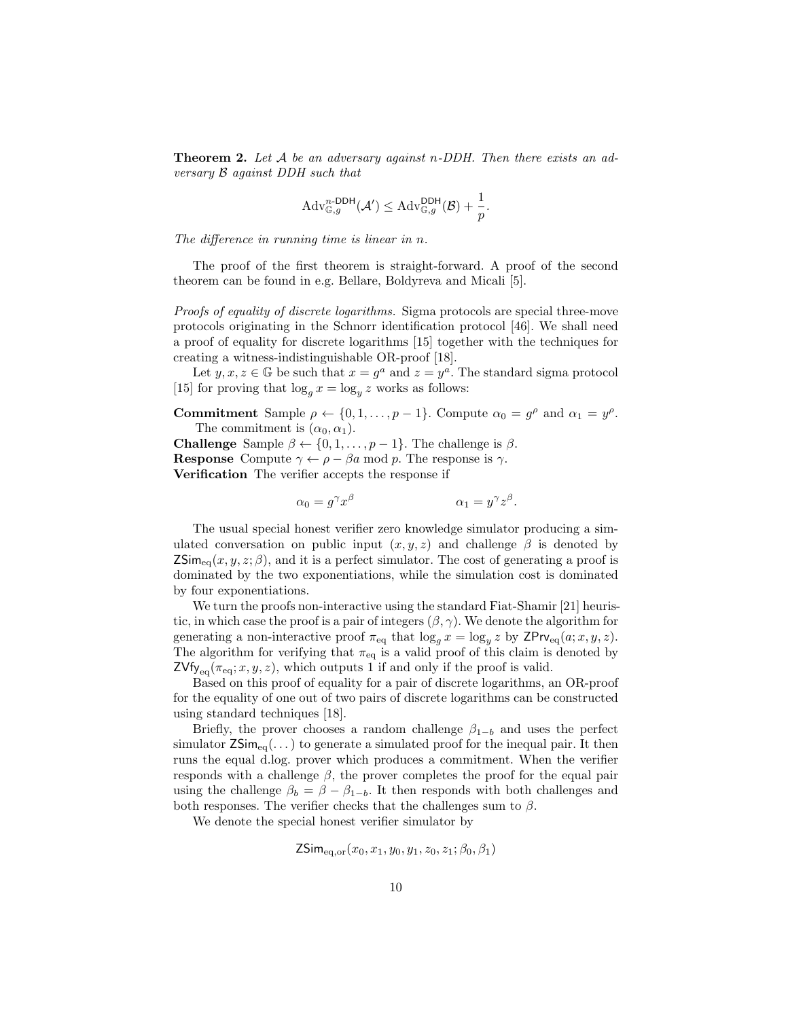**Theorem 2.** Let A be an adversary against n-DDH. Then there exists an adversary B against DDH such that

$$
\mathrm{Adv}_{\mathbb{G},g}^{n\text{-DDH}}(\mathcal{A}') \leq \mathrm{Adv}_{\mathbb{G},g}^{\text{DDH}}(\mathcal{B}) + \frac{1}{p}.
$$

The difference in running time is linear in n.

The proof of the first theorem is straight-forward. A proof of the second theorem can be found in e.g. Bellare, Boldyreva and Micali [5].

Proofs of equality of discrete logarithms. Sigma protocols are special three-move protocols originating in the Schnorr identification protocol [46]. We shall need a proof of equality for discrete logarithms [15] together with the techniques for creating a witness-indistinguishable OR-proof [18].

Let  $y, x, z \in \mathbb{G}$  be such that  $x = g^a$  and  $z = y^a$ . The standard sigma protocol [15] for proving that  $\log_g x = \log_y z$  works as follows:

**Commitment** Sample  $\rho \leftarrow \{0, 1, \ldots, p-1\}$ . Compute  $\alpha_0 = g^{\rho}$  and  $\alpha_1 = y^{\rho}$ . The commitment is  $(\alpha_0, \alpha_1)$ .

**Challenge** Sample  $\beta \leftarrow \{0, 1, \ldots, p-1\}$ . The challenge is  $\beta$ . **Response** Compute  $\gamma \leftarrow \rho - \beta a \mod p$ . The response is  $\gamma$ . Verification The verifier accepts the response if

$$
\alpha_0 = g^\gamma x^\beta \qquad \qquad \alpha_1 = y^\gamma z^\beta.
$$

The usual special honest verifier zero knowledge simulator producing a simulated conversation on public input  $(x, y, z)$  and challenge  $\beta$  is denoted by  $\mathsf{ZSim}_{\mathsf{eq}}(x, y, z; \beta)$ , and it is a perfect simulator. The cost of generating a proof is dominated by the two exponentiations, while the simulation cost is dominated by four exponentiations.

We turn the proofs non-interactive using the standard Fiat-Shamir [21] heuristic, in which case the proof is a pair of integers  $(\beta, \gamma)$ . We denote the algorithm for generating a non-interactive proof  $\pi_{\text{eq}}$  that  $\log_g x = \log_y z$  by  $\text{ZPrv}_{\text{eq}}(a; x, y, z)$ . The algorithm for verifying that  $\pi_{\text{eq}}$  is a valid proof of this claim is denoted by  $ZVf_{\mathcal{Y}_{eq}}(\pi_{eq}; x, y, z)$ , which outputs 1 if and only if the proof is valid.

Based on this proof of equality for a pair of discrete logarithms, an OR-proof for the equality of one out of two pairs of discrete logarithms can be constructed using standard techniques [18].

Briefly, the prover chooses a random challenge  $\beta_{1-b}$  and uses the perfect simulator  $\text{ZSim}_{\text{eq}}(\dots)$  to generate a simulated proof for the inequal pair. It then runs the equal d.log. prover which produces a commitment. When the verifier responds with a challenge  $\beta$ , the prover completes the proof for the equal pair using the challenge  $\beta_b = \beta - \beta_{1-b}$ . It then responds with both challenges and both responses. The verifier checks that the challenges sum to  $\beta$ .

We denote the special honest verifier simulator by

$$
\mathsf{ZSim}_{\mathsf{eq}, \mathsf{or}}(x_0, x_1, y_0, y_1, z_0, z_1; \beta_0, \beta_1)
$$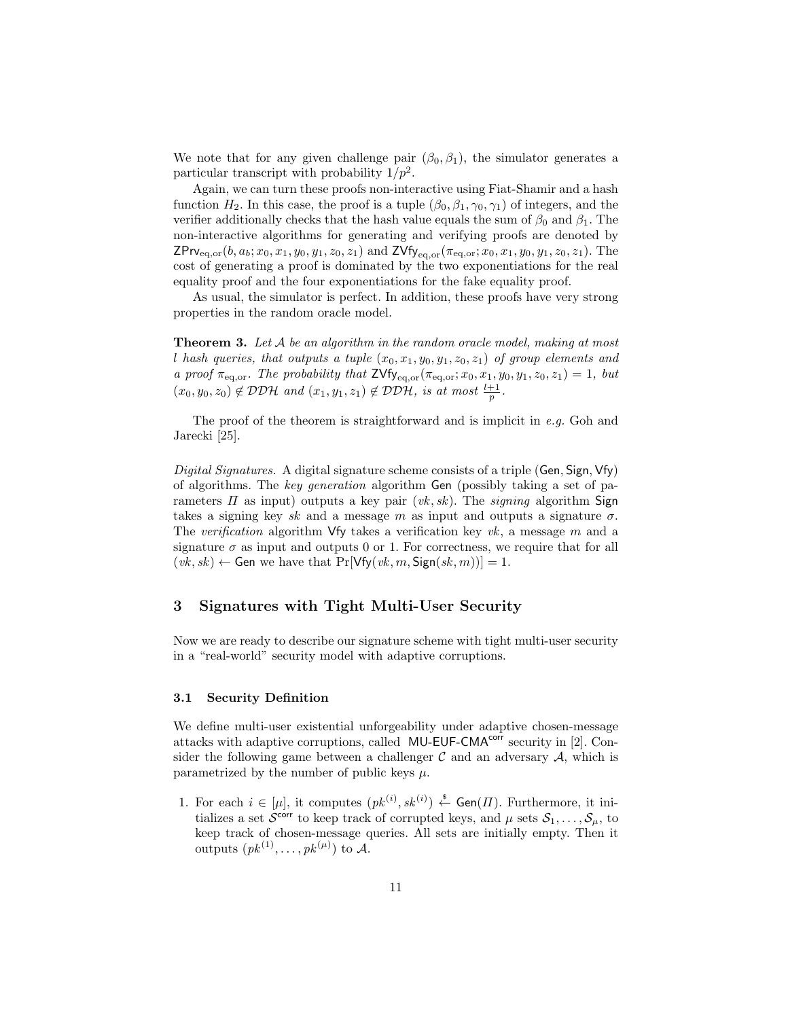We note that for any given challenge pair  $(\beta_0, \beta_1)$ , the simulator generates a particular transcript with probability  $1/p^2$ .

Again, we can turn these proofs non-interactive using Fiat-Shamir and a hash function  $H_2$ . In this case, the proof is a tuple  $(\beta_0, \beta_1, \gamma_0, \gamma_1)$  of integers, and the verifier additionally checks that the hash value equals the sum of  $\beta_0$  and  $\beta_1$ . The non-interactive algorithms for generating and verifying proofs are denoted by ZPrv<sub>eq,or</sub> $(b, a_b; x_0, x_1, y_0, y_1, z_0, z_1)$  and ZVfy<sub>eq,or</sub> $(\pi_{\text{eq,or}}; x_0, x_1, y_0, y_1, z_0, z_1)$ . The cost of generating a proof is dominated by the two exponentiations for the real equality proof and the four exponentiations for the fake equality proof.

As usual, the simulator is perfect. In addition, these proofs have very strong properties in the random oracle model.

**Theorem 3.** Let A be an algorithm in the random oracle model, making at most l hash queries, that outputs a tuple  $(x_0, x_1, y_0, y_1, z_0, z_1)$  of group elements and a proof  $\pi_{\text{eq,or}}$ . The probability that  $\text{ZVf}_{\text{eq,or}}(\pi_{\text{eq,or}}; x_0, x_1, y_0, y_1, z_0, z_1) = 1$ , but  $(x_0, y_0, z_0) \notin \mathcal{DDH}$  and  $(x_1, y_1, z_1) \notin \mathcal{DDH}$ , is at most  $\frac{l+1}{p}$ .

The proof of the theorem is straightforward and is implicit in e.g. Goh and Jarecki [25].

Digital Signatures. A digital signature scheme consists of a triple (Gen, Sign,  $Vf_v$ ) of algorithms. The key generation algorithm Gen (possibly taking a set of parameters  $\Pi$  as input) outputs a key pair (vk, sk). The signing algorithm Sign takes a signing key sk and a message m as input and outputs a signature  $\sigma$ . The verification algorithm Vfy takes a verification key  $vk$ , a message m and a signature  $\sigma$  as input and outputs 0 or 1. For correctness, we require that for all  $(vk, sk) \leftarrow$  Gen we have that  $Pr[\forall f y(vk, m, \text{Sign}(sk, m))] = 1.$ 

## 3 Signatures with Tight Multi-User Security

Now we are ready to describe our signature scheme with tight multi-user security in a "real-world" security model with adaptive corruptions.

### 3.1 Security Definition

We define multi-user existential unforgeability under adaptive chosen-message attacks with adaptive corruptions, called MU-EUF-CMA<sup>corr</sup> security in [2]. Consider the following game between a challenger  $\mathcal C$  and an adversary  $\mathcal A$ , which is parametrized by the number of public keys  $\mu$ .

1. For each  $i \in [\mu]$ , it computes  $(pk^{(i)}, sk^{(i)}) \stackrel{\$}{\leftarrow} \textsf{Gen}(H)$ . Furthermore, it initializes a set  $\mathcal{S}^{\text{corr}}$  to keep track of corrupted keys, and  $\mu$  sets  $\mathcal{S}_1, \ldots, \mathcal{S}_{\mu}$ , to keep track of chosen-message queries. All sets are initially empty. Then it outputs  $(pk^{(1)}, \ldots, pk^{(\mu)})$  to A.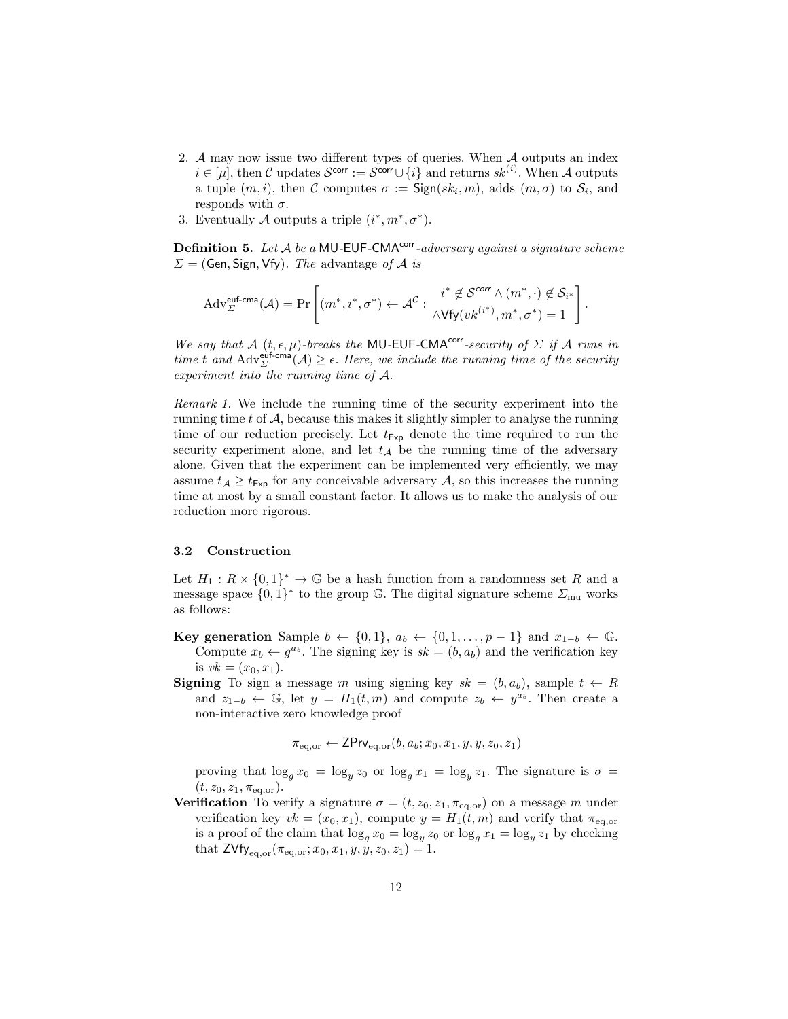- 2. A may now issue two different types of queries. When A outputs an index  $i \in [\mu],$  then C updates  $\mathcal{S}^{\text{corr}} := \mathcal{S}^{\text{corr}} \cup \{i\}$  and returns  $sk^{(i)}$ . When A outputs a tuple  $(m, i)$ , then C computes  $\sigma := \text{Sign}(sk_i, m)$ , adds  $(m, \sigma)$  to  $\mathcal{S}_i$ , and responds with  $\sigma$ .
- 3. Eventually A outputs a triple  $(i^*, m^*, \sigma^*)$ .

**Definition 5.** Let  $A$  be a MU-EUF-CMA<sup>corr</sup>-adversary against a signature scheme  $\Sigma = (Gen, Sign, Vfv)$ . The advantage of A is

$$
Adv_{\Sigma}^{\text{euf-cma}}(\mathcal{A}) = Pr \left[ (m^*, i^*, \sigma^*) \leftarrow \mathcal{A}^{\mathcal{C}} : \begin{array}{c} i^* \notin \mathcal{S}^{\text{corr}} \wedge (m^*, \cdot) \notin \mathcal{S}_{i^*} \\ \wedge \mathsf{Vfy}(vk^{(i^*)}, m^*, \sigma^*) = 1 \end{array} \right].
$$

We say that  $\mathcal A$  (t,  $\epsilon, \mu$ )-breaks the MU-EUF-CMA<sup>corr</sup>-security of  $\Sigma$  if  $\mathcal A$  runs in time t and  $\text{Adv}_{\Sigma}^{\text{euf-cma}}(\mathcal{A}) \geq \epsilon$ . Here, we include the running time of the security experiment into the running time of A.

Remark 1. We include the running time of the security experiment into the running time  $t$  of  $A$ , because this makes it slightly simpler to analyse the running time of our reduction precisely. Let  $t_{\text{Exp}}$  denote the time required to run the security experiment alone, and let  $t_A$  be the running time of the adversary alone. Given that the experiment can be implemented very efficiently, we may assume  $t_A \geq t_{\text{Exp}}$  for any conceivable adversary A, so this increases the running time at most by a small constant factor. It allows us to make the analysis of our reduction more rigorous.

### 3.2 Construction

Let  $H_1: R \times \{0,1\}^* \to \mathbb{G}$  be a hash function from a randomness set R and a message space  $\{0,1\}^*$  to the group G. The digital signature scheme  $\Sigma_{\rm mu}$  works as follows:

- Key generation Sample  $b \leftarrow \{0, 1\}$ ,  $a_b \leftarrow \{0, 1, \ldots, p-1\}$  and  $x_{1-b} \leftarrow \mathbb{G}$ . Compute  $x_b \leftarrow g^{a_b}$ . The signing key is  $sk = (b, a_b)$  and the verification key is  $vk = (x_0, x_1)$ .
- **Signing** To sign a message m using signing key  $sk = (b, a_b)$ , sample  $t \leftarrow R$ and  $z_{1-b} \leftarrow \mathbb{G}$ , let  $y = H_1(t,m)$  and compute  $z_b \leftarrow y^{a_b}$ . Then create a non-interactive zero knowledge proof

$$
\pi_{\text{eq,or}} \leftarrow \text{ZPrv}_{\text{eq,or}}(b, a_b; x_0, x_1, y, y, z_0, z_1)
$$

proving that  $\log_g x_0 = \log_y z_0$  or  $\log_g x_1 = \log_y z_1$ . The signature is  $\sigma =$  $(t, z_0, z_1, \pi_{\text{ea. or}}).$ 

**Verification** To verify a signature  $\sigma = (t, z_0, z_1, \pi_{\text{eq,or}})$  on a message m under verification key  $vk = (x_0, x_1)$ , compute  $y = H_1(t,m)$  and verify that  $\pi_{eq,or}$ is a proof of the claim that  $\log_g x_0 = \log_y z_0$  or  $\log_g x_1 = \log_y z_1$  by checking that  $ZVf_{Y_{eq, or}}(\pi_{eq, or}; x_0, x_1, y, y, z_0, z_1) = 1.$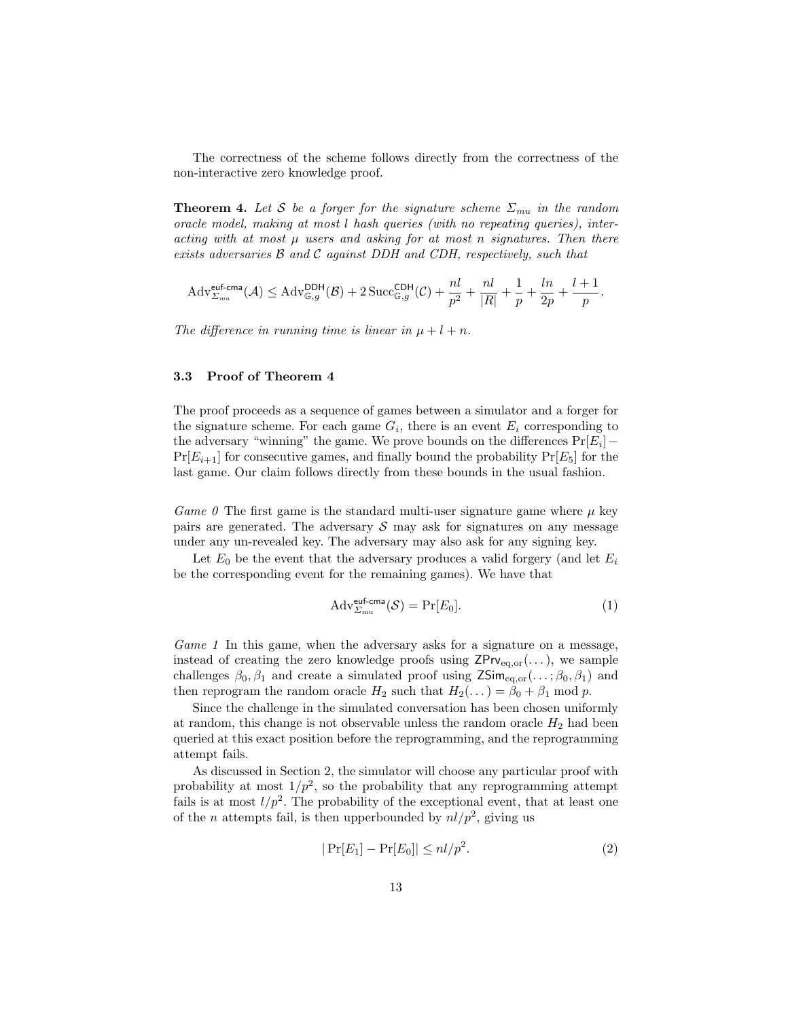The correctness of the scheme follows directly from the correctness of the non-interactive zero knowledge proof.

**Theorem 4.** Let S be a forger for the signature scheme  $\Sigma_{mu}$  in the random oracle model, making at most l hash queries (with no repeating queries), interacting with at most  $\mu$  users and asking for at most n signatures. Then there exists adversaries  $\beta$  and  $\beta$  against DDH and CDH, respectively, such that

$$
\mathrm{Adv}_{\varSigma_{mu}}^{\text{euf-cma}}(\mathcal{A}) \leq \mathrm{Adv}_{\mathbb{G},g}^{\text{DDH}}(\mathcal{B}) + 2\,\mathrm{Succ}_{\mathbb{G},g}^{\text{CDH}}(\mathcal{C}) + \frac{nl}{p^2} + \frac{nl}{|R|} + \frac{1}{p} + \frac{ln}{2p} + \frac{l+1}{p}.
$$

The difference in running time is linear in  $\mu + l + n$ .

### 3.3 Proof of Theorem 4

The proof proceeds as a sequence of games between a simulator and a forger for the signature scheme. For each game  $G_i$ , there is an event  $E_i$  corresponding to the adversary "winning" the game. We prove bounds on the differences  $Pr[E_i]$  –  $Pr[E_{i+1}]$  for consecutive games, and finally bound the probability  $Pr[E_5]$  for the last game. Our claim follows directly from these bounds in the usual fashion.

Game 0 The first game is the standard multi-user signature game where  $\mu$  key pairs are generated. The adversary  $\mathcal S$  may ask for signatures on any message under any un-revealed key. The adversary may also ask for any signing key.

Let  $E_0$  be the event that the adversary produces a valid forgery (and let  $E_i$ be the corresponding event for the remaining games). We have that

$$
Adv_{\Sigma_{\rm mu}}^{\rm euf-cma}(\mathcal{S}) = \Pr[E_0]. \tag{1}
$$

Game 1 In this game, when the adversary asks for a signature on a message, instead of creating the zero knowledge proofs using  $\mathsf{ZPrv}_{\mathsf{eq,or}}(\ldots)$ , we sample challenges  $\beta_0, \beta_1$  and create a simulated proof using  $\text{ZSim}_{\text{eq,or}}(\ldots; \beta_0, \beta_1)$  and then reprogram the random oracle  $H_2$  such that  $H_2(\ldots) = \beta_0 + \beta_1 \mod p$ .

Since the challenge in the simulated conversation has been chosen uniformly at random, this change is not observable unless the random oracle  $H_2$  had been queried at this exact position before the reprogramming, and the reprogramming attempt fails.

As discussed in Section 2, the simulator will choose any particular proof with probability at most  $1/p^2$ , so the probability that any reprogramming attempt fails is at most  $l/p^2$ . The probability of the exceptional event, that at least one of the *n* attempts fail, is then upperbounded by  $nl/p^2$ , giving us

$$
|\Pr[E_1] - \Pr[E_0]| \le n l / p^2. \tag{2}
$$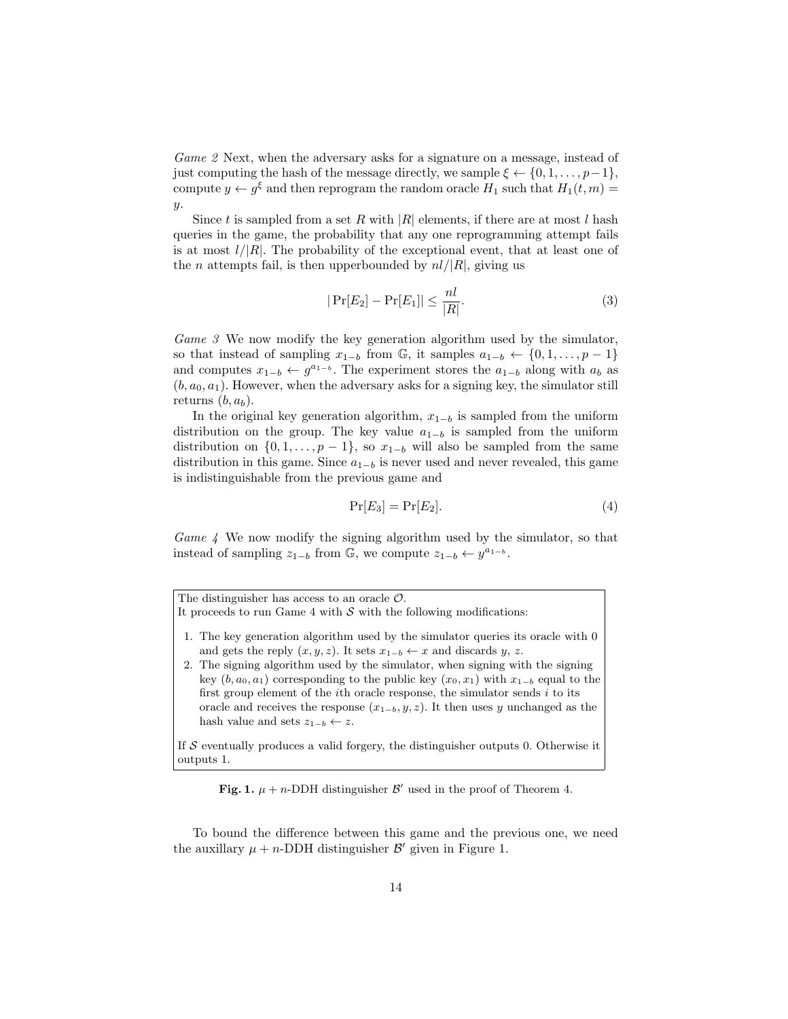Game 2 Next, when the adversary asks for a signature on a message, instead of just computing the hash of the message directly, we sample  $\xi \leftarrow \{0, 1, \ldots, p-1\},$ compute  $y \leftarrow g^{\xi}$  and then reprogram the random oracle  $H_1$  such that  $H_1(t,m)$  $y$ .

Since t is sampled from a set R with  $|R|$  elements, if there are at most l hash queries in the game, the probability that any one reprogramming attempt fails is at most  $l/|R|$ . The probability of the exceptional event, that at least one of the *n* attempts fail, is then upperbounded by  $nl/|R|$ , giving us

$$
|\Pr[E_2] - \Pr[E_1]| \le \frac{nl}{|R|}.\tag{3}
$$

Game 3 We now modify the key generation algorithm used by the simulator, so that instead of sampling  $x_{1-b}$  from  $\mathbb{G}$ , it samples  $a_{1-b} \leftarrow \{0, 1, \ldots, p-1\}$ and computes  $x_{1-b} \leftarrow g^{a_{1-b}}$ . The experiment stores the  $a_{1-b}$  along with  $a_b$  as  $(b, a_0, a_1)$ . However, when the adversary asks for a signing key, the simulator still returns  $(b, a_h)$ .

In the original key generation algorithm,  $x_{1-b}$  is sampled from the uniform distribution on the group. The key value  $a_{1-b}$  is sampled from the uniform distribution on  $\{0, 1, \ldots, p-1\}$ , so  $x_{1-b}$  will also be sampled from the same distribution in this game. Since  $a_{1-b}$  is never used and never revealed, this game is indistinguishable from the previous game and

$$
\Pr[E_3] = \Pr[E_2].\tag{4}
$$

Game 4 We now modify the signing algorithm used by the simulator, so that instead of sampling  $z_{1-b}$  from  $\mathbb{G}$ , we compute  $z_{1-b} \leftarrow y^{a_{1-b}}$ .

The distinguisher has access to an oracle  $\mathcal{O}$ . It proceeds to run Game 4 with  $S$  with the following modifications: 1. The key generation algorithm used by the simulator queries its oracle with 0 and gets the reply  $(x, y, z)$ . It sets  $x_{1-b} \leftarrow x$  and discards y, z. 2. The signing algorithm used by the simulator, when signing with the signing key  $(b, a_0, a_1)$  corresponding to the public key  $(x_0, x_1)$  with  $x_{1-b}$  equal to the first group element of the *i*th oracle response, the simulator sends  $i$  to its oracle and receives the response  $(x_{1-b}, y, z)$ . It then uses y unchanged as the hash value and sets  $z_{1-b} \leftarrow z$ .

If  $S$  eventually produces a valid forgery, the distinguisher outputs 0. Otherwise it outputs 1.

Fig. 1.  $\mu + n$ -DDH distinguisher  $\mathcal{B}'$  used in the proof of Theorem 4.

To bound the difference between this game and the previous one, we need the auxillary  $\mu + n$ -DDH distinguisher  $\mathcal{B}'$  given in Figure 1.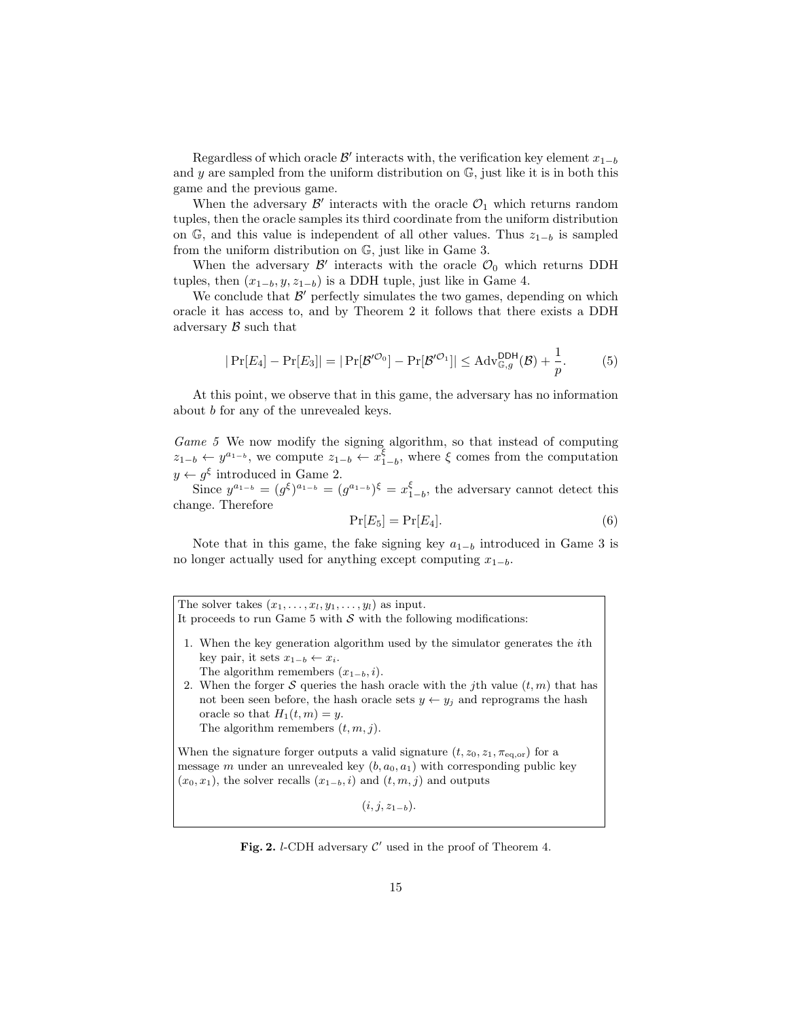Regardless of which oracle  $\mathcal{B}'$  interacts with, the verification key element  $x_{1-b}$ and y are sampled from the uniform distribution on  $\mathbb{G}$ , just like it is in both this game and the previous game.

When the adversary  $\mathcal{B}'$  interacts with the oracle  $\mathcal{O}_1$  which returns random tuples, then the oracle samples its third coordinate from the uniform distribution on  $\mathbb{G}$ , and this value is independent of all other values. Thus  $z_{1-b}$  is sampled from the uniform distribution on G, just like in Game 3.

When the adversary  $\mathcal{B}'$  interacts with the oracle  $\mathcal{O}_0$  which returns DDH tuples, then  $(x_{1-h}, y, z_{1-h})$  is a DDH tuple, just like in Game 4.

We conclude that  $\mathcal{B}'$  perfectly simulates the two games, depending on which oracle it has access to, and by Theorem 2 it follows that there exists a DDH adversary  $\beta$  such that

$$
|\Pr[E_4] - \Pr[E_3]| = |\Pr[\mathcal{B}'^{\mathcal{O}_0}] - \Pr[\mathcal{B}'^{\mathcal{O}_1}]| \leq \mathrm{Adv}_{\mathbb{G},g}^{\mathsf{DDH}}(\mathcal{B}) + \frac{1}{p}.
$$
 (5)

At this point, we observe that in this game, the adversary has no information about b for any of the unrevealed keys.

Game 5 We now modify the signing algorithm, so that instead of computing  $z_{1-b}$  ←  $y^{a_{1-b}}$ , we compute  $z_{1-b}$  ←  $x_{1-b}^{\xi}$ , where  $\xi$  comes from the computation  $y \leftarrow g^{\xi}$  introduced in Game 2.

Since  $y^{a_{1-b}} = (g^{\xi})^{a_{1-b}} = (g^{a_{1-b}})^{\xi} = x_{1-b}^{\xi}$ , the adversary cannot detect this change. Therefore

$$
\Pr[E_5] = \Pr[E_4].\tag{6}
$$

Note that in this game, the fake signing key  $a_{1-b}$  introduced in Game 3 is no longer actually used for anything except computing  $x_{1-b}$ .

The solver takes  $(x_1, \ldots, x_l, y_1, \ldots, y_l)$  as input. It proceeds to run Game 5 with  $S$  with the following modifications:

- 1. When the key generation algorithm used by the simulator generates the ith key pair, it sets  $x_{1-b} \leftarrow x_i$ .
- The algorithm remembers  $(x_{1-b}, i)$ . 2. When the forger  $S$  queries the hash oracle with the jth value  $(t, m)$  that has not been seen before, the hash oracle sets  $y \leftarrow y_j$  and reprograms the hash oracle so that  $H_1(t, m) = y$ . The algorithm remembers  $(t, m, j)$ .

When the signature forger outputs a valid signature  $(t, z_0, z_1, \pi_{eq, or})$  for a message m under an unrevealed key  $(b, a_0, a_1)$  with corresponding public key  $(x_0, x_1)$ , the solver recalls  $(x_{1-b}, i)$  and  $(t, m, j)$  and outputs

 $(i, j, z_{1-b}).$ 

Fig. 2. *l*-CDH adversary  $C'$  used in the proof of Theorem 4.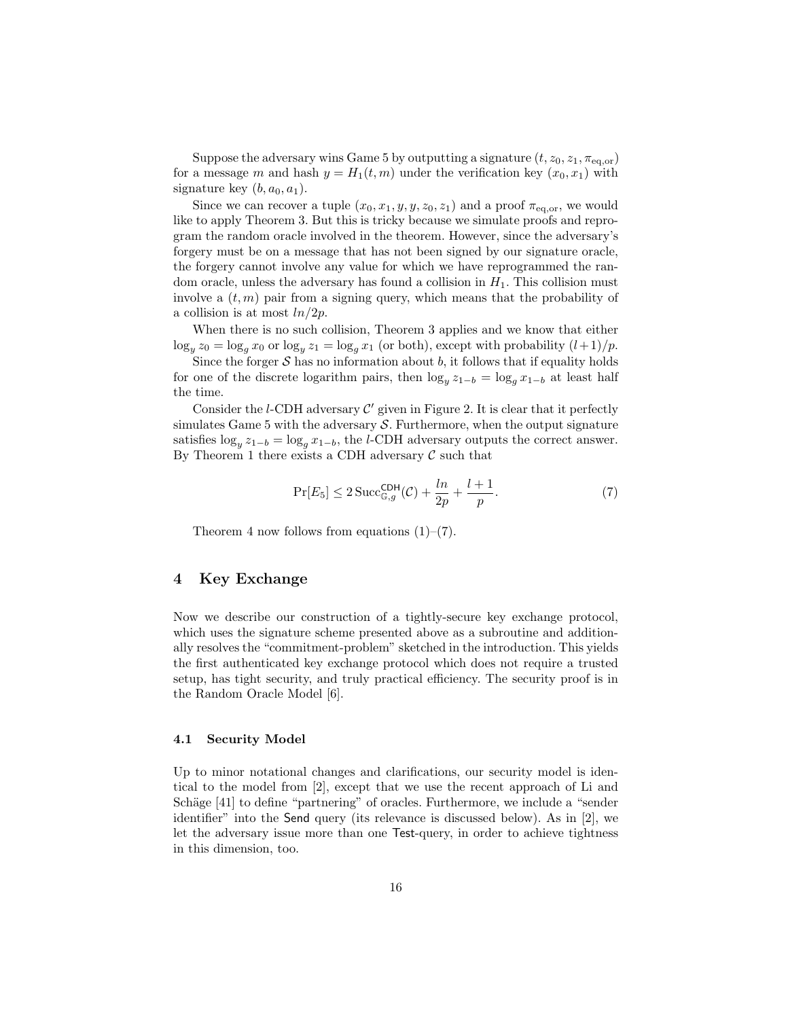Suppose the adversary wins Game 5 by outputting a signature  $(t, z_0, z_1, \pi_{eq,or})$ for a message m and hash  $y = H_1(t, m)$  under the verification key  $(x_0, x_1)$  with signature key  $(b, a_0, a_1)$ .

Since we can recover a tuple  $(x_0, x_1, y, y, z_0, z_1)$  and a proof  $\pi_{eq, or}$ , we would like to apply Theorem 3. But this is tricky because we simulate proofs and reprogram the random oracle involved in the theorem. However, since the adversary's forgery must be on a message that has not been signed by our signature oracle, the forgery cannot involve any value for which we have reprogrammed the random oracle, unless the adversary has found a collision in  $H_1$ . This collision must involve a  $(t, m)$  pair from a signing query, which means that the probability of a collision is at most  $ln/2p$ .

When there is no such collision, Theorem 3 applies and we know that either  $\log_y z_0 = \log_g x_0$  or  $\log_y z_1 = \log_g x_1$  (or both), except with probability  $(l+1)/p$ .

Since the forger  $S$  has no information about b, it follows that if equality holds for one of the discrete logarithm pairs, then  $\log_y z_{1-b} = \log_g x_{1-b}$  at least half the time.

Consider the  $l$ -CDH adversary  $\mathcal{C}'$  given in Figure 2. It is clear that it perfectly simulates Game 5 with the adversary  $S$ . Furthermore, when the output signature satisfies  $\log_y z_{1-b} = \log_g x_{1-b}$ , the l-CDH adversary outputs the correct answer. By Theorem 1 there exists a CDH adversary  $\mathcal C$  such that

$$
\Pr[E_5] \le 2\operatorname{Succ}_{\mathbb{G},g}^{\text{CDH}}(\mathcal{C}) + \frac{\ln}{2p} + \frac{l+1}{p}.\tag{7}
$$

Theorem 4 now follows from equations  $(1)-(7)$ .

# 4 Key Exchange

Now we describe our construction of a tightly-secure key exchange protocol, which uses the signature scheme presented above as a subroutine and additionally resolves the "commitment-problem" sketched in the introduction. This yields the first authenticated key exchange protocol which does not require a trusted setup, has tight security, and truly practical efficiency. The security proof is in the Random Oracle Model [6].

#### 4.1 Security Model

Up to minor notational changes and clarifications, our security model is identical to the model from [2], except that we use the recent approach of Li and Schäge [41] to define "partnering" of oracles. Furthermore, we include a "sender identifier" into the Send query (its relevance is discussed below). As in [2], we let the adversary issue more than one Test-query, in order to achieve tightness in this dimension, too.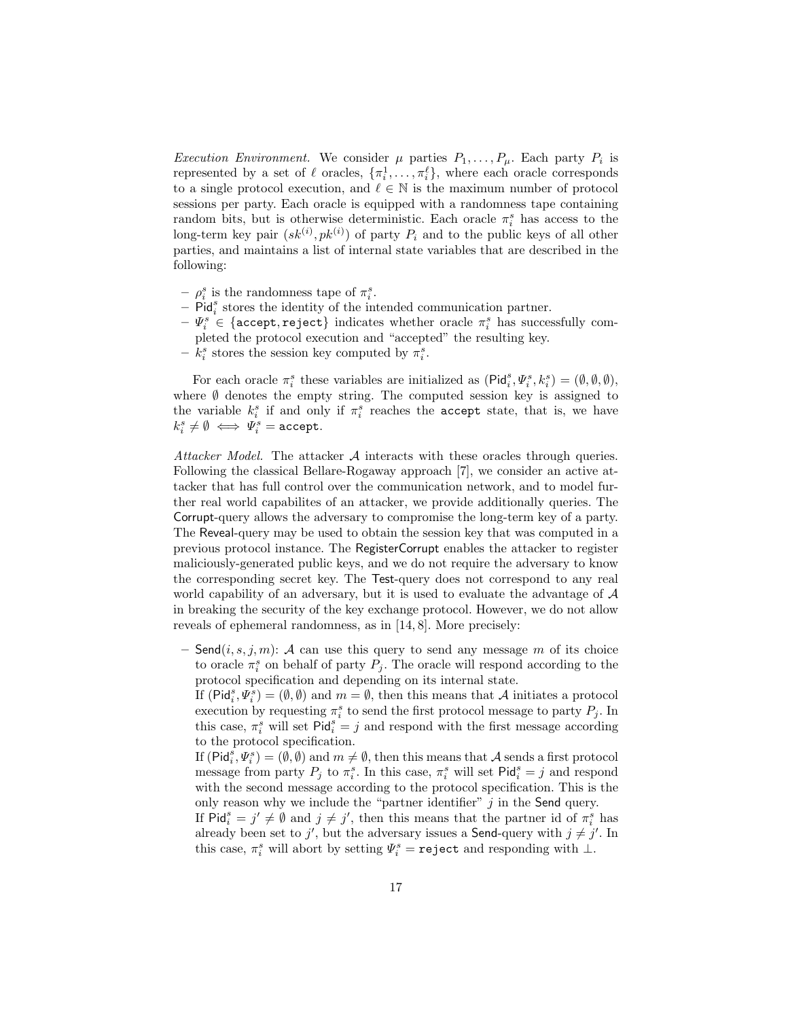*Execution Environment.* We consider  $\mu$  parties  $P_1, \ldots, P_{\mu}$ . Each party  $P_i$  is represented by a set of  $\ell$  oracles,  $\{\pi_i^1, \ldots, \pi_i^{\ell}\}$ , where each oracle corresponds to a single protocol execution, and  $\ell \in \mathbb{N}$  is the maximum number of protocol sessions per party. Each oracle is equipped with a randomness tape containing random bits, but is otherwise deterministic. Each oracle  $\pi_i^s$  has access to the long-term key pair  $(s k^{(i)}, p k^{(i)})$  of party  $P_i$  and to the public keys of all other parties, and maintains a list of internal state variables that are described in the following:

- $\rho_i^s$  is the randomness tape of  $\pi_i^s$ .
- $-$  Pid $_i^s$  stores the identity of the intended communication partner.
- $-\Psi_i^s \in \{\texttt{accept}, \texttt{reject}\}$  indicates whether oracle  $\pi_i^s$  has successfully completed the protocol execution and "accepted" the resulting key.
- $k_i^s$  stores the session key computed by  $\pi_i^s$ .

For each oracle  $\pi_i^s$  these variables are initialized as  $(Pi_i^d, \Psi_i^s, k_i^s) = (\emptyset, \emptyset, \emptyset),$ where  $\emptyset$  denotes the empty string. The computed session key is assigned to the variable  $k_i^s$  if and only if  $\pi_i^s$  reaches the accept state, that is, we have  $k_i^s \neq \emptyset \iff \Psi_i^s = \texttt{accept}.$ 

Attacker Model. The attacker  $A$  interacts with these oracles through queries. Following the classical Bellare-Rogaway approach [7], we consider an active attacker that has full control over the communication network, and to model further real world capabilites of an attacker, we provide additionally queries. The Corrupt-query allows the adversary to compromise the long-term key of a party. The Reveal-query may be used to obtain the session key that was computed in a previous protocol instance. The RegisterCorrupt enables the attacker to register maliciously-generated public keys, and we do not require the adversary to know the corresponding secret key. The Test-query does not correspond to any real world capability of an adversary, but it is used to evaluate the advantage of  $A$ in breaking the security of the key exchange protocol. However, we do not allow reveals of ephemeral randomness, as in [14, 8]. More precisely:

– Send $(i, s, j, m)$ : A can use this query to send any message m of its choice to oracle  $\pi_i^s$  on behalf of party  $P_j$ . The oracle will respond according to the protocol specification and depending on its internal state.

If  $(Pid_i^s, \Psi_i^s) = (\emptyset, \emptyset)$  and  $m = \emptyset$ , then this means that A initiates a protocol execution by requesting  $\pi_i^s$  to send the first protocol message to party  $P_j$ . In this case,  $\pi_i^s$  will set  $\text{Pid}_i^s = j$  and respond with the first message according to the protocol specification.

If  $(Pid_i^{\bar{s}}, \Psi_i^s) = (\emptyset, \emptyset)$  and  $m \neq \emptyset$ , then this means that A sends a first protocol message from party  $P_j$  to  $\pi_i^s$ . In this case,  $\pi_i^s$  will set  $\mathsf{Pid}_i^s = j$  and respond with the second message according to the protocol specification. This is the only reason why we include the "partner identifier"  $j$  in the Send query.

If  $Pid_i^s = j' \neq \emptyset$  and  $j \neq j'$ , then this means that the partner id of  $\pi_i^s$  has already been set to j', but the adversary issues a Send-query with  $j \neq j'$ . In this case,  $\pi_i^s$  will abort by setting  $\Psi_i^s = \texttt{reject}$  and responding with  $\bot$ .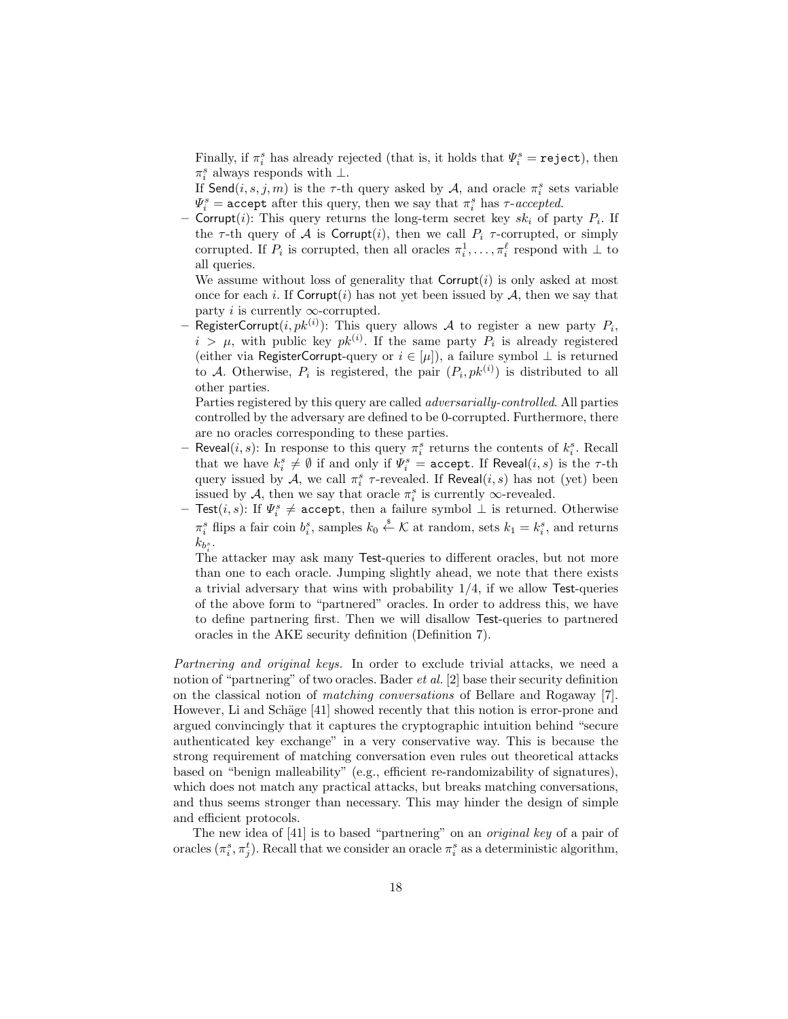Finally, if  $\pi_i^s$  has already rejected (that is, it holds that  $\Psi_i^s = \texttt{reject}$ ), then  $\pi_i^s$  always responds with  $\bot.$ 

If  $\mathsf{Send}(i, s, j, m)$  is the  $\tau$ -th query asked by  $\mathcal{A}$ , and oracle  $\pi_i^s$  sets variable  $\Psi_i^s =$  accept after this query, then we say that  $\pi_i^s$  has  $\tau$ -accepted.

- Corrupt(i): This query returns the long-term secret key  $sk_i$  of party  $P_i$ . If the  $\tau$ -th query of A is Corrupt(i), then we call  $P_i$   $\tau$ -corrupted, or simply corrupted. If  $P_i$  is corrupted, then all oracles  $\pi_i^1, \ldots, \pi_i^{\ell}$  respond with  $\perp$  to all queries.

We assume without loss of generality that  $Corrupt(i)$  is only asked at most once for each i. If Corrupt(i) has not yet been issued by  $A$ , then we say that party i is currently  $\infty$ -corrupted.

- RegisterCorrupt $(i, pk^{(i)})$ : This query allows A to register a new party  $P_i$ ,  $i > \mu$ , with public key  $pk^{(i)}$ . If the same party  $P_i$  is already registered (either via RegisterCorrupt-query or  $i \in [\mu]$ ), a failure symbol ⊥ is returned to A. Otherwise,  $P_i$  is registered, the pair  $(P_i, pk^{(i)})$  is distributed to all other parties.

Parties registered by this query are called adversarially-controlled. All parties controlled by the adversary are defined to be 0-corrupted. Furthermore, there are no oracles corresponding to these parties.

- Reveal $(i, s)$ : In response to this query  $\pi_i^s$  returns the contents of  $k_i^s$ . Recall that we have  $k_i^s \neq \emptyset$  if and only if  $\Psi_i^s = \texttt{accept}.$  If Reveal $(i, s)$  is the  $\tau$ -th query issued by A, we call  $\pi_i^s$   $\tau$ -revealed. If Reveal $(i, s)$  has not (yet) been issued by A, then we say that oracle  $\pi_i^s$  is currently  $\infty$ -revealed.
- $-$  Test $(i, s)$ : If  $\Psi_i^s \neq \text{accept}$ , then a failure symbol  $\perp$  is returned. Otherwise  $\pi_i^s$  flips a fair coin  $b_i^s$ , samples  $k_0 \overset{\$}{\leftarrow} \mathcal{K}$  at random, sets  $k_1 = k_i^s$ , and returns  $k_{b_i^s}$ .

The attacker may ask many Test-queries to different oracles, but not more than one to each oracle. Jumping slightly ahead, we note that there exists a trivial adversary that wins with probability  $1/4$ , if we allow Test-queries of the above form to "partnered" oracles. In order to address this, we have to define partnering first. Then we will disallow Test-queries to partnered oracles in the AKE security definition (Definition 7).

Partnering and original keys. In order to exclude trivial attacks, we need a notion of "partnering" of two oracles. Bader et al. [2] base their security definition on the classical notion of matching conversations of Bellare and Rogaway [7]. However, Li and Schäge [41] showed recently that this notion is error-prone and argued convincingly that it captures the cryptographic intuition behind "secure authenticated key exchange" in a very conservative way. This is because the strong requirement of matching conversation even rules out theoretical attacks based on "benign malleability" (e.g., efficient re-randomizability of signatures), which does not match any practical attacks, but breaks matching conversations, and thus seems stronger than necessary. This may hinder the design of simple and efficient protocols.

The new idea of [41] is to based "partnering" on an original key of a pair of oracles  $(\pi_i^s, \pi_j^t)$ . Recall that we consider an oracle  $\pi_i^s$  as a deterministic algorithm,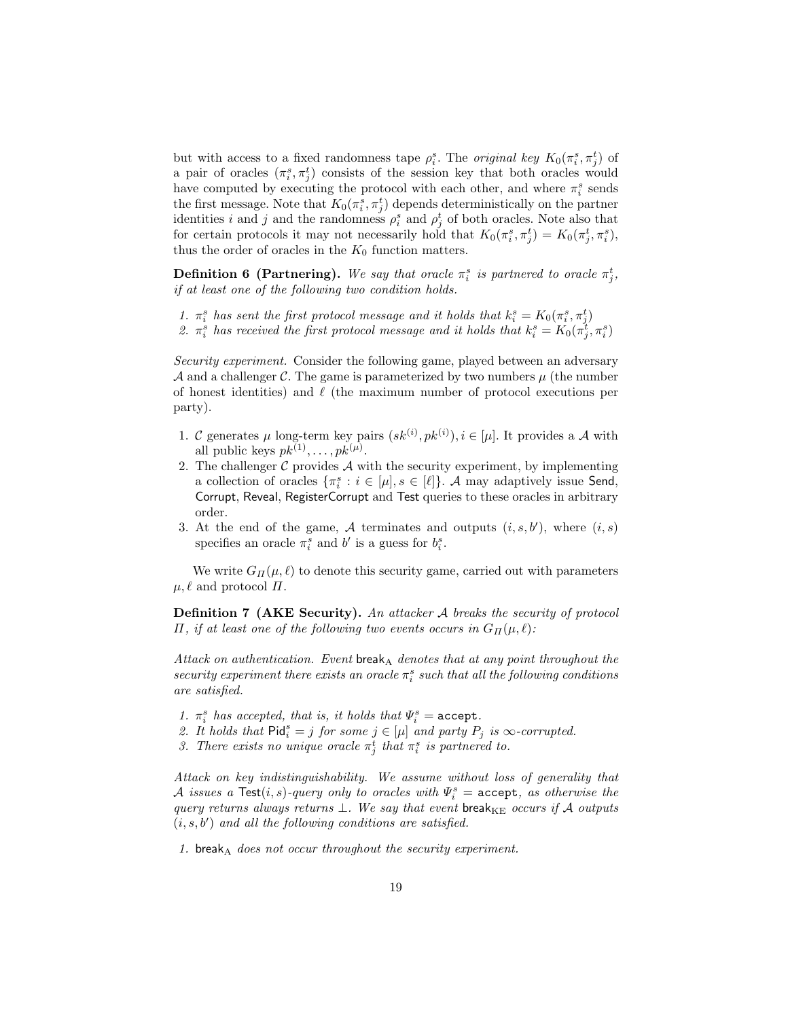but with access to a fixed randomness tape  $\rho_i^s$ . The *original key*  $K_0(\pi_i^s, \pi_j^t)$  of a pair of oracles  $(\pi_i^s, \pi_j^t)$  consists of the session key that both oracles would have computed by executing the protocol with each other, and where  $\pi_i^s$  sends the first message. Note that  $K_0(\pi_i^s, \pi_j^t)$  depends deterministically on the partner identities i and j and the randomness  $\rho_i^s$  and  $\rho_j^t$  of both oracles. Note also that for certain protocols it may not necessarily hold that  $K_0(\pi_i^s, \pi_j^t) = K_0(\pi_j^t, \pi_i^s)$ , thus the order of oracles in the  $K_0$  function matters.

**Definition 6 (Partnering).** We say that oracle  $\pi_i^s$  is partnered to oracle  $\pi_j^t$ , if at least one of the following two condition holds.

- 1.  $\pi_i^s$  has sent the first protocol message and it holds that  $k_i^s = K_0(\pi_i^s, \pi_j^t)$
- 2.  $\pi_i^s$  has received the first protocol message and it holds that  $k_i^s = K_0(\pi_j^t, \pi_i^s)$

Security experiment. Consider the following game, played between an adversary A and a challenger C. The game is parameterized by two numbers  $\mu$  (the number of honest identities) and  $\ell$  (the maximum number of protocol executions per party).

- 1. C generates  $\mu$  long-term key pairs  $(sk^{(i)}, pk^{(i)}), i \in [\mu]$ . It provides a A with all public keys  $pk^{(1)}, \ldots, pk^{(\mu)}$ .
- 2. The challenger  $\mathcal C$  provides  $\mathcal A$  with the security experiment, by implementing a collection of oracles  $\{\pi_i^s : i \in [\mu], s \in [\ell]\}$ . A may adaptively issue Send, Corrupt, Reveal, RegisterCorrupt and Test queries to these oracles in arbitrary order.
- 3. At the end of the game,  $A$  terminates and outputs  $(i, s, b')$ , where  $(i, s)$ specifies an oracle  $\pi_i^s$  and  $b'$  is a guess for  $b_i^s$ .

We write  $G_{\Pi}(\mu, \ell)$  to denote this security game, carried out with parameters  $\mu, \ell$  and protocol  $\Pi$ .

Definition 7 (AKE Security). An attacker A breaks the security of protocol Π, if at least one of the following two events occurs in  $G_{\Pi}(\mu, \ell)$ :

Attack on authentication. Event break<sub>A</sub> denotes that at any point throughout the security experiment there exists an oracle  $\pi_i^s$  such that all the following conditions are satisfied.

- 1.  $\pi_i^s$  has accepted, that is, it holds that  $\Psi_i^s = \text{accept}$ .
- 2. It holds that  $Pid_i^s = j$  for some  $j \in [\mu]$  and party  $P_j$  is  $\infty$ -corrupted.
- 3. There exists no unique oracle  $\pi_j^t$  that  $\pi_i^s$  is partnered to.

Attack on key indistinguishability. We assume without loss of generality that A issues a Test $(i, s)$ -query only to oracles with  $\Psi_i^s = \texttt{accept},$  as otherwise the query returns always returns  $\perp$ . We say that event break<sub>KE</sub> occurs if A outputs  $(i, s, b')$  and all the following conditions are satisfied.

1. break<sub>A</sub> does not occur throughout the security experiment.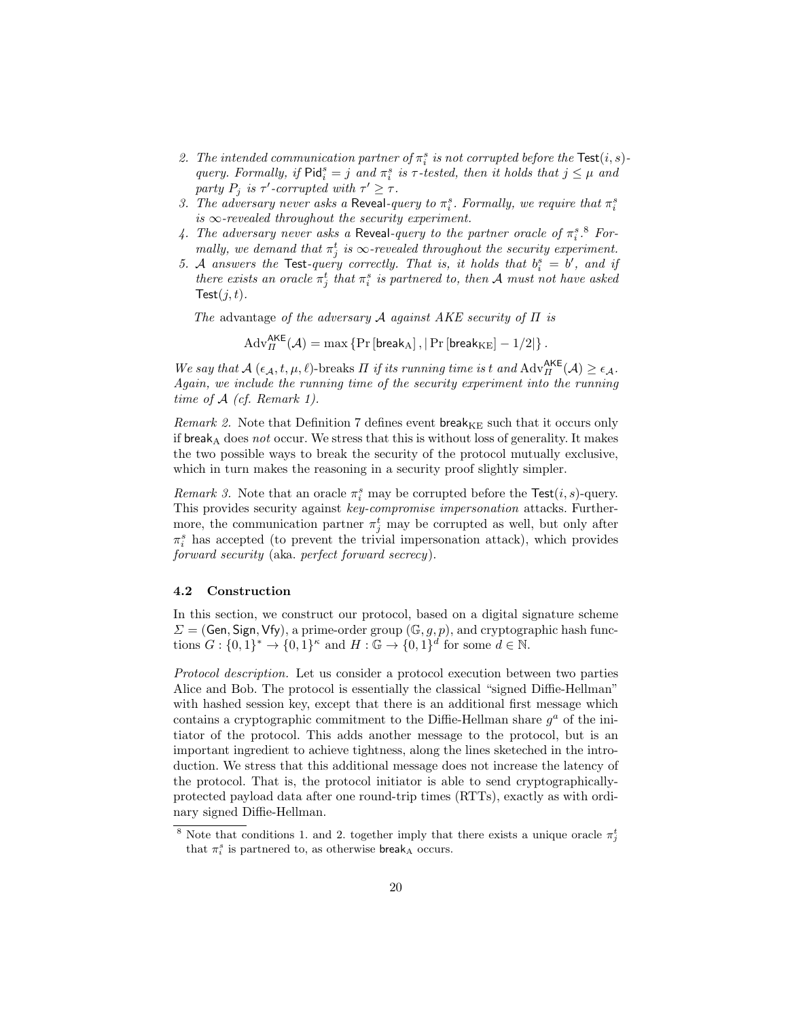- 2. The intended communication partner of  $\pi_i^s$  is not corrupted before the  $\textsf{Test}(i,s)$ query. Formally, if  $\text{Pid}_i^s = j$  and  $\pi_i^s$  is  $\tau$ -tested, then it holds that  $j \leq \mu$  and party  $P_j$  is  $\tau'$ -corrupted with  $\tau' \geq \tau$ .
- 3. The adversary never asks a Reveal-query to  $\pi_i^s$ . Formally, we require that  $\pi_i^s$ is  $\infty$ -revealed throughout the security experiment.
- 4. The adversary never asks a Reveal-query to the partner oracle of  $\pi_i^s$ .<sup>8</sup> Formally, we demand that  $\pi_j^t$  is  $\infty$ -revealed throughout the security experiment.
- 5. A answers the Test-query correctly. That is, it holds that  $b_i^s = b'$ , and if there exists an oracle  $\pi_j^t$  that  $\pi_i^s$  is partnered to, then A must not have asked Test $(j, t)$ .

The advantage of the adversary  $A$  against AKE security of  $\Pi$  is

 $\mathrm{Adv}_{\varPi}^{\mathsf{AKE}}(\mathcal{A}) = \max\left\{\Pr\left[\mathsf{break}_{\mathcal{A}}\right],\left|\Pr\left[\mathsf{break}_{\mathcal{KE}}\right]-1/2\right|\right\}.$ 

We say that  $\mathcal{A}(\epsilon_{\mathcal{A}}, t, \mu, \ell)$ -breaks  $\Pi$  if its running time is t and  $\text{Adv}_{\Pi}^{\text{AKE}}(\mathcal{A}) \geq \epsilon_{\mathcal{A}}$ . Again, we include the running time of the security experiment into the running time of  $A$  (cf. Remark 1).

Remark 2. Note that Definition 7 defines event break<sub>KE</sub> such that it occurs only if break<sub>A</sub> does not occur. We stress that this is without loss of generality. It makes the two possible ways to break the security of the protocol mutually exclusive, which in turn makes the reasoning in a security proof slightly simpler.

Remark 3. Note that an oracle  $\pi_i^s$  may be corrupted before the  $\text{Test}(i, s)$ -query. This provides security against key-compromise impersonation attacks. Furthermore, the communication partner  $\pi_j^t$  may be corrupted as well, but only after  $\pi_i^s$  has accepted (to prevent the trivial impersonation attack), which provides forward security (aka. perfect forward secrecy).

## 4.2 Construction

In this section, we construct our protocol, based on a digital signature scheme  $\Sigma = (Gen, Sign, Vfy),$  a prime-order group  $(\mathbb{G}, g, p)$ , and cryptographic hash functions  $G: \{0,1\}^* \to \{0,1\}^{\kappa}$  and  $H: \mathbb{G} \to \{0,1\}^d$  for some  $d \in \mathbb{N}$ .

Protocol description. Let us consider a protocol execution between two parties Alice and Bob. The protocol is essentially the classical "signed Diffie-Hellman" with hashed session key, except that there is an additional first message which contains a cryptographic commitment to the Diffie-Hellman share  $g<sup>a</sup>$  of the initiator of the protocol. This adds another message to the protocol, but is an important ingredient to achieve tightness, along the lines sketeched in the introduction. We stress that this additional message does not increase the latency of the protocol. That is, the protocol initiator is able to send cryptographicallyprotected payload data after one round-trip times (RTTs), exactly as with ordinary signed Diffie-Hellman.

<sup>&</sup>lt;sup>8</sup> Note that conditions 1. and 2. together imply that there exists a unique oracle  $\pi_j^t$ that  $\pi_i^s$  is partnered to, as otherwise break<sub>A</sub> occurs.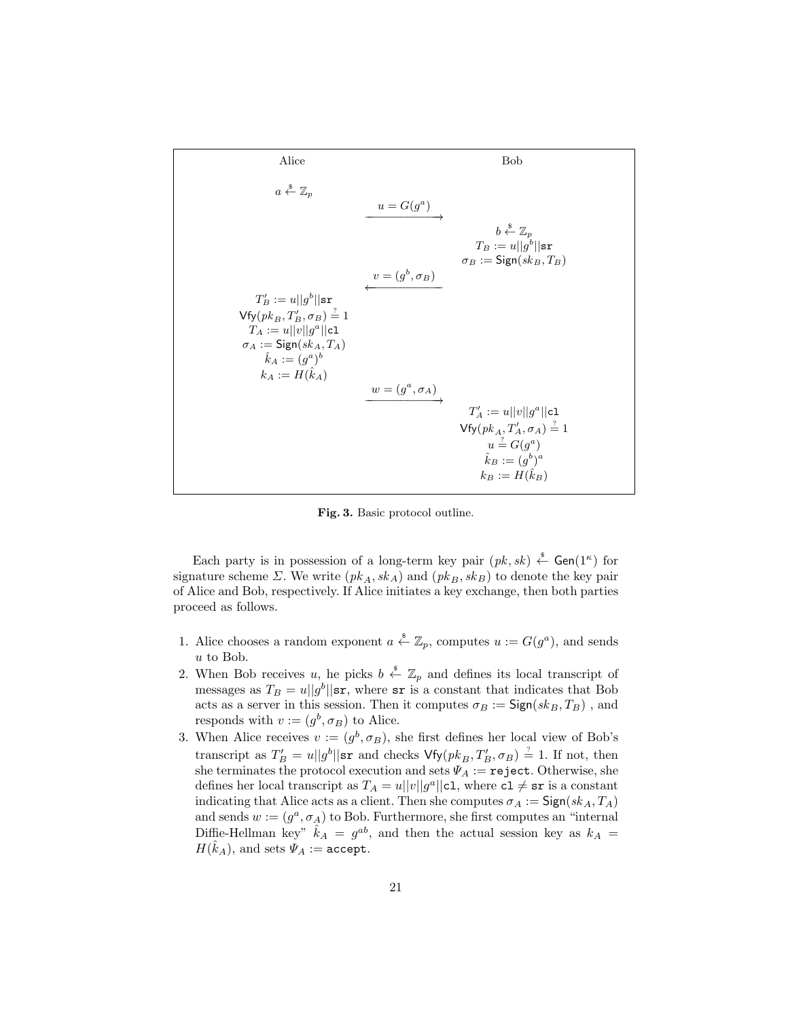Alice  
\n
$$
a \stackrel{s}{\leftarrow} \mathbb{Z}_p
$$
  
\n $\begin{array}{c}\n u = G(g^a) \\
\downarrow b \stackrel{s}{\leftarrow} \mathbb{Z}_p \\
T_B := u||g^b||sr \\
\hline\n\sigma_B := \text{Sign}(sk_B, T_B)\n\end{array}$   
\n $T'_B := u||g^b||sr$   
\n $\begin{array}{c}\n Vf(y(k_B, T_B, \sigma_B) = 1 \\
T_A := u||v||g^a||cl \\
\sigma_A := \text{Sign}(sk_A, T_A)\n\end{array}$   
\n $k_A := (g^a)^b$   
\n $k_A := H(\hat{k}_A)$   
\n $\begin{array}{c}\n w = (g^a, \sigma_A) \\
w = (g^a, \sigma_A)\n\end{array}$   
\n $\begin{array}{c}\n T'_A := u||v||g^a||cl \\
Vf(y(k_A, T'_A, \sigma_A) = 1 \\
u = G(g^a) \\
\hat{k}_B := (g^b)^a\n\end{array}$ 

Fig. 3. Basic protocol outline.

Each party is in possession of a long-term key pair  $(pk, sk) \stackrel{\text{s}}{\leftarrow}$  Gen $(1^{\kappa})$  for signature scheme  $\Sigma$ . We write  $(pk_A, sk_A)$  and  $(pk_B, sk_B)$  to denote the key pair of Alice and Bob, respectively. If Alice initiates a key exchange, then both parties proceed as follows.

- 1. Alice chooses a random exponent  $a \stackrel{s}{\leftarrow} \mathbb{Z}_p$ , computes  $u := G(g^a)$ , and sends u to Bob.
- 2. When Bob receives u, he picks  $b \stackrel{s}{\leftarrow} \mathbb{Z}_p$  and defines its local transcript of messages as  $T_B = u||g^b||sr$ , where sr is a constant that indicates that Bob acts as a server in this session. Then it computes  $\sigma_B := \mathsf{Sign}(sk_B, T_B)$ , and responds with  $v := (g^b, \sigma_B)$  to Alice.
- 3. When Alice receives  $v := (g^b, \sigma_B)$ , she first defines her local view of Bob's transcript as  $T'_B = u||g^b||$ sr and checks  $Vf(y(h_B, T'_B, \sigma_B) \stackrel{?}{=} 1$ . If not, then she terminates the protocol execution and sets  $\Psi_A := \texttt{reject}$ . Otherwise, she defines her local transcript as  $T_A = u||v||g^a||c_1$ , where  $c_1 \neq sr$  is a constant indicating that Alice acts as a client. Then she computes  $\sigma_A := \mathsf{Sign}(sk_A, T_A)$ and sends  $w := (g^a, \sigma_A)$  to Bob. Furthermore, she first computes an "internal Diffie-Hellman key"  $\hat{k}_A = g^{ab}$ , and then the actual session key as  $k_A =$  $H(\hat k_A),$  and sets  $\check \varPsi_A:={\tt accept}.$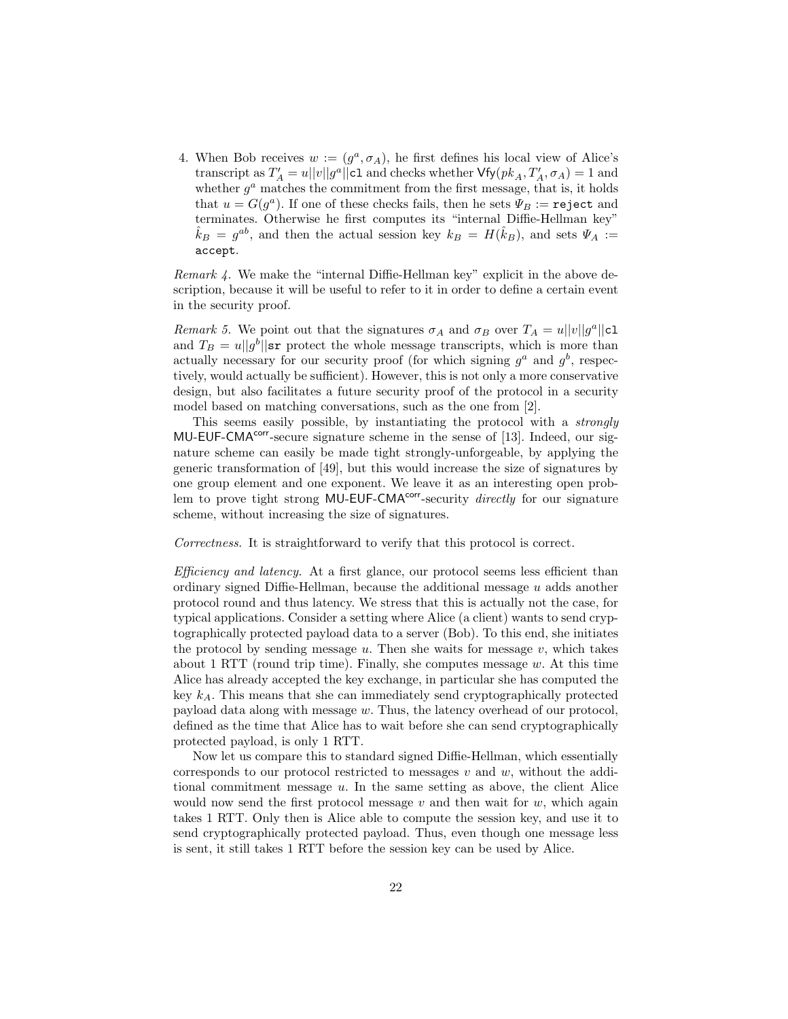4. When Bob receives  $w := (g^a, \sigma_A)$ , he first defines his local view of Alice's transcript as  $T'_A = u||v||g^a||c1$  and checks whether  $Vf(y(h_A, T'_A, \sigma_A)) = 1$  and whether  $g^a$  matches the commitment from the first message, that is, it holds that  $u = G(g^a)$ . If one of these checks fails, then he sets  $\Psi_B := \texttt{reject}$  and terminates. Otherwise he first computes its "internal Diffie-Hellman key"  $\hat{k}_B = g^{ab}$ , and then the actual session key  $k_B = H(\hat{k}_B)$ , and sets  $\Psi_A :=$ accept.

Remark 4. We make the "internal Diffie-Hellman key" explicit in the above description, because it will be useful to refer to it in order to define a certain event in the security proof.

Remark 5. We point out that the signatures  $\sigma_A$  and  $\sigma_B$  over  $T_A = u||v||g^a||c1$ and  $T_B = u||g^b||$ sr protect the whole message transcripts, which is more than actually necessary for our security proof (for which signing  $g^a$  and  $g^b$ , respectively, would actually be sufficient). However, this is not only a more conservative design, but also facilitates a future security proof of the protocol in a security model based on matching conversations, such as the one from [2].

This seems easily possible, by instantiating the protocol with a *strongly*  $MU-EUF-CMA<sup>corr</sup>$ -secure signature scheme in the sense of [13]. Indeed, our signature scheme can easily be made tight strongly-unforgeable, by applying the generic transformation of [49], but this would increase the size of signatures by one group element and one exponent. We leave it as an interesting open problem to prove tight strong MU-EUF-CMA<sup>corr</sup>-security *directly* for our signature scheme, without increasing the size of signatures.

Correctness. It is straightforward to verify that this protocol is correct.

Efficiency and latency. At a first glance, our protocol seems less efficient than ordinary signed Diffie-Hellman, because the additional message  $u$  adds another protocol round and thus latency. We stress that this is actually not the case, for typical applications. Consider a setting where Alice (a client) wants to send cryptographically protected payload data to a server (Bob). To this end, she initiates the protocol by sending message  $u$ . Then she waits for message  $v$ , which takes about 1 RTT (round trip time). Finally, she computes message  $w$ . At this time Alice has already accepted the key exchange, in particular she has computed the key  $k_A$ . This means that she can immediately send cryptographically protected payload data along with message w. Thus, the latency overhead of our protocol, defined as the time that Alice has to wait before she can send cryptographically protected payload, is only 1 RTT.

Now let us compare this to standard signed Diffie-Hellman, which essentially corresponds to our protocol restricted to messages  $v$  and  $w$ , without the additional commitment message  $u$ . In the same setting as above, the client Alice would now send the first protocol message  $v$  and then wait for  $w$ , which again takes 1 RTT. Only then is Alice able to compute the session key, and use it to send cryptographically protected payload. Thus, even though one message less is sent, it still takes 1 RTT before the session key can be used by Alice.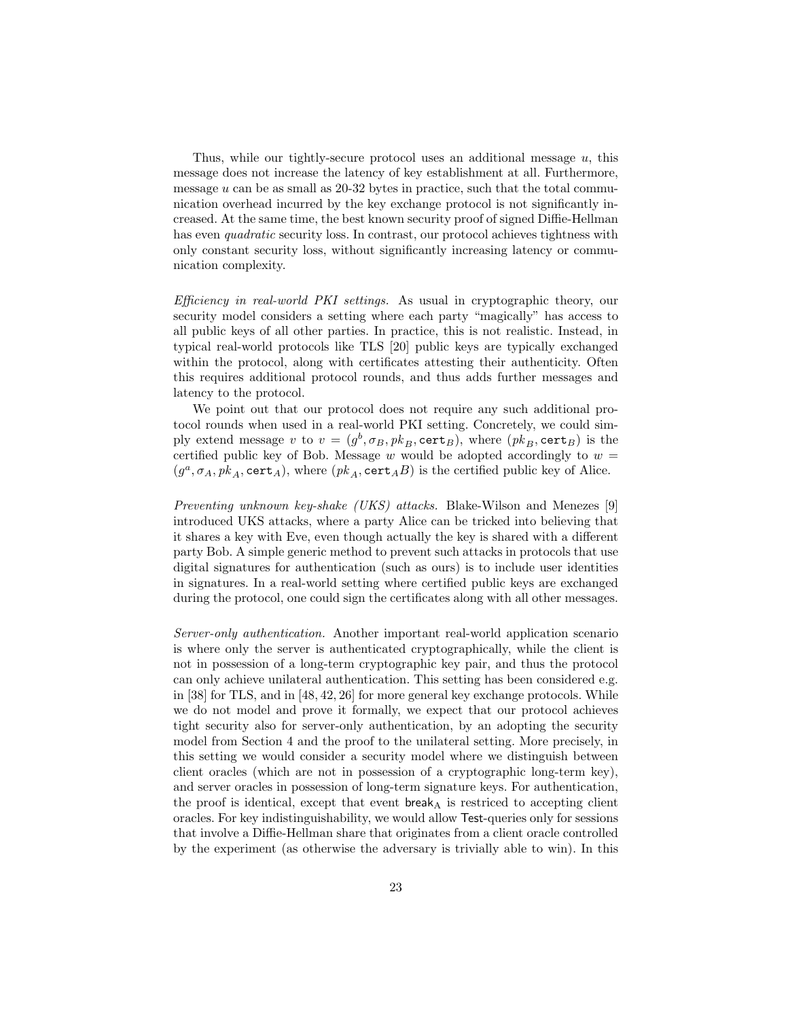Thus, while our tightly-secure protocol uses an additional message  $u$ , this message does not increase the latency of key establishment at all. Furthermore, message  $u$  can be as small as 20-32 bytes in practice, such that the total communication overhead incurred by the key exchange protocol is not significantly increased. At the same time, the best known security proof of signed Diffie-Hellman has even *quadratic* security loss. In contrast, our protocol achieves tightness with only constant security loss, without significantly increasing latency or communication complexity.

Efficiency in real-world PKI settings. As usual in cryptographic theory, our security model considers a setting where each party "magically" has access to all public keys of all other parties. In practice, this is not realistic. Instead, in typical real-world protocols like TLS [20] public keys are typically exchanged within the protocol, along with certificates attesting their authenticity. Often this requires additional protocol rounds, and thus adds further messages and latency to the protocol.

We point out that our protocol does not require any such additional protocol rounds when used in a real-world PKI setting. Concretely, we could simply extend message v to  $v = (g^b, \sigma_B, pk_B, \texttt{cert}_B)$ , where  $(pk_B, \texttt{cert}_B)$  is the certified public key of Bob. Message w would be adopted accordingly to  $w =$  $(g^a, \sigma_A, pk_A, \texttt{cert}_A)$ , where  $(pk_A, \texttt{cert}_A B)$  is the certified public key of Alice.

Preventing unknown key-shake (UKS) attacks. Blake-Wilson and Menezes [9] introduced UKS attacks, where a party Alice can be tricked into believing that it shares a key with Eve, even though actually the key is shared with a different party Bob. A simple generic method to prevent such attacks in protocols that use digital signatures for authentication (such as ours) is to include user identities in signatures. In a real-world setting where certified public keys are exchanged during the protocol, one could sign the certificates along with all other messages.

Server-only authentication. Another important real-world application scenario is where only the server is authenticated cryptographically, while the client is not in possession of a long-term cryptographic key pair, and thus the protocol can only achieve unilateral authentication. This setting has been considered e.g. in [38] for TLS, and in [48, 42, 26] for more general key exchange protocols. While we do not model and prove it formally, we expect that our protocol achieves tight security also for server-only authentication, by an adopting the security model from Section 4 and the proof to the unilateral setting. More precisely, in this setting we would consider a security model where we distinguish between client oracles (which are not in possession of a cryptographic long-term key), and server oracles in possession of long-term signature keys. For authentication, the proof is identical, except that event  $break_A$  is restriced to accepting client oracles. For key indistinguishability, we would allow Test-queries only for sessions that involve a Diffie-Hellman share that originates from a client oracle controlled by the experiment (as otherwise the adversary is trivially able to win). In this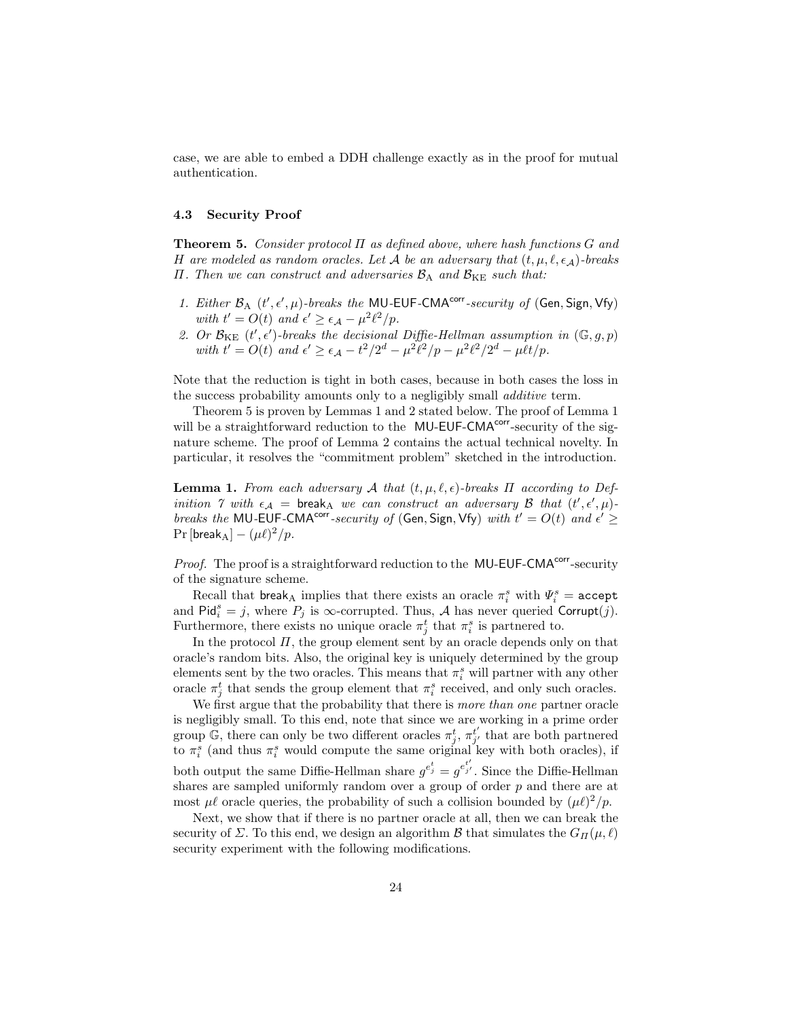case, we are able to embed a DDH challenge exactly as in the proof for mutual authentication.

#### 4.3 Security Proof

**Theorem 5.** Consider protocol  $\Pi$  as defined above, where hash functions  $G$  and H are modeled as random oracles. Let A be an adversary that  $(t, \mu, \ell, \epsilon_A)$ -breaks Π. Then we can construct and adversaries  $\mathcal{B}_A$  and  $\mathcal{B}_{KE}$  such that:

- 1. Either  $\mathcal{B}_A$  (t',  $\epsilon', \mu$ )-breaks the MU-EUF-CMA<sup>corr</sup>-security of (Gen, Sign, Vfy) with  $t' = O(t)$  and  $\epsilon' \geq \epsilon_{\mathcal{A}} - \mu^2 \ell^2 / p$ .
- 2. Or  $\mathcal{B}_{KE}$  (t',  $\epsilon'$ )-breaks the decisional Diffie-Hellman assumption in  $(\mathbb{G}, g, p)$ with  $t' = O(t)$  and  $\epsilon' \ge \epsilon_{\mathcal{A}} - t^2/2^d - \mu^2 \ell^2 / p - \mu^2 \ell^2 / 2^d - \mu \ell t / p$ .

Note that the reduction is tight in both cases, because in both cases the loss in the success probability amounts only to a negligibly small additive term.

Theorem 5 is proven by Lemmas 1 and 2 stated below. The proof of Lemma 1 will be a straightforward reduction to the MU-EUF-CMA<sup>corr</sup>-security of the signature scheme. The proof of Lemma 2 contains the actual technical novelty. In particular, it resolves the "commitment problem" sketched in the introduction.

**Lemma 1.** From each adversary A that  $(t, \mu, \ell, \epsilon)$ -breaks  $\Pi$  according to Definition 7 with  $\epsilon_A$  = break<sub>A</sub> we can construct an adversary B that  $(t', \epsilon', \mu)$ breaks the MU-EUF-CMA<sup>corr</sup>-security of (Gen, Sign, Vfy) with  $t' = O(t)$  and  $\epsilon' \geq$  $\Pr\left[\mathsf{break}_{\mathrm{A}}\right] - (\mu \ell)^2/p.$ 

Proof. The proof is a straightforward reduction to the MU-EUF-CMA<sup>corr</sup>-security of the signature scheme.

Recall that break<sub>A</sub> implies that there exists an oracle  $\pi_i^s$  with  $\Psi_i^s = \text{accept}$ and  $\text{Pid}_i^s = j$ , where  $P_j$  is  $\infty$ -corrupted. Thus, A has never queried Corrupt $(j)$ . Furthermore, there exists no unique oracle  $\pi_j^t$  that  $\pi_i^s$  is partnered to.

In the protocol  $\Pi$ , the group element sent by an oracle depends only on that oracle's random bits. Also, the original key is uniquely determined by the group elements sent by the two oracles. This means that  $\pi_i^s$  will partner with any other oracle  $\pi_j^t$  that sends the group element that  $\pi_i^s$  received, and only such oracles.

We first argue that the probability that there is *more than one* partner oracle is negligibly small. To this end, note that since we are working in a prime order group  $\mathfrak{S}$ , there can only be two different oracles  $\pi_j^t$ ,  $\pi_{j'}^{t'}$  that are both partnered to  $\pi_i^s$  (and thus  $\pi_i^s$  would compute the same original key with both oracles), if both output the same Diffie-Hellman share  $g^{e_j^t} = g^{e_j^{t'}}$ . Since the Diffie-Hellman shares are sampled uniformly random over a group of order  $p$  and there are at most  $\mu\ell$  oracle queries, the probability of such a collision bounded by  $(\mu\ell)^2/p$ .

Next, we show that if there is no partner oracle at all, then we can break the security of  $\Sigma$ . To this end, we design an algorithm  $\mathcal B$  that simulates the  $G_{\Pi}(\mu, \ell)$ security experiment with the following modifications.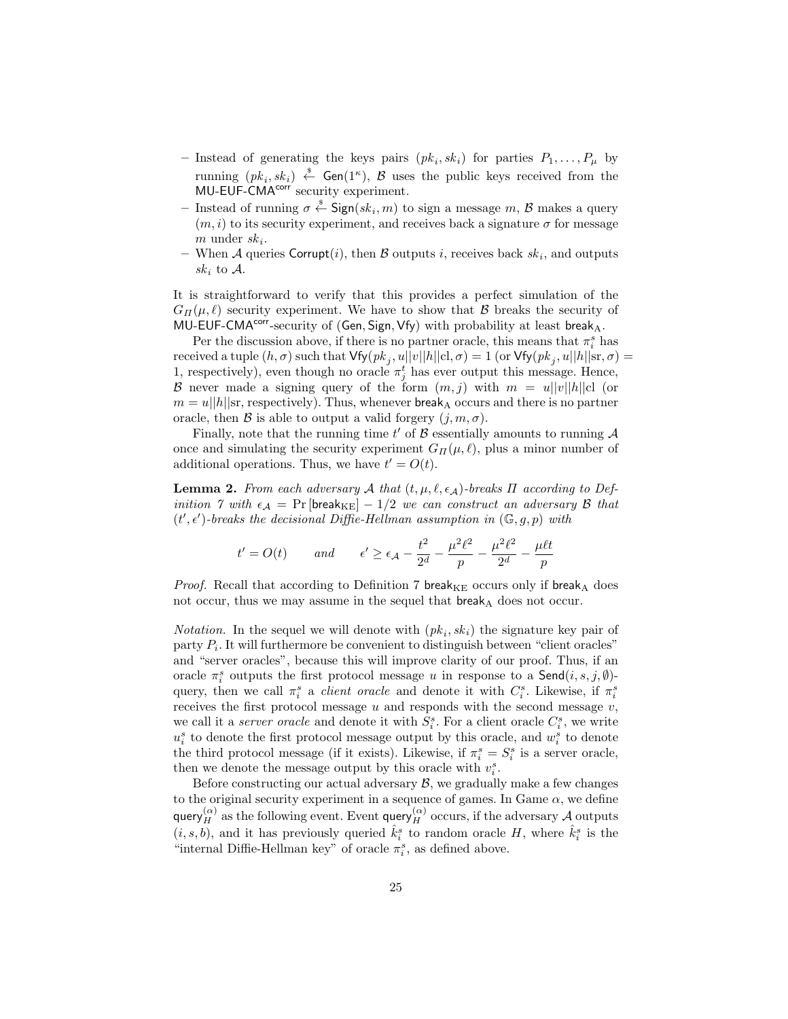- Instead of generating the keys pairs  $(pk_i, sk_i)$  for parties  $P_1, \ldots, P_\mu$  by running  $(pk_i, sk_i) \stackrel{\$}{\leftarrow}$  Gen(1<sup> $\kappa$ </sup>),  $\beta$  uses the public keys received from the MU-EUF-CMA<sup>corr</sup> security experiment.
- Instead of running  $\sigma \stackrel{\$}{\leftarrow}$  Sign $(sk_i, m)$  to sign a message m,  $\mathcal B$  makes a query  $(m, i)$  to its security experiment, and receives back a signature  $\sigma$  for message  $m$  under  $sk_i$ .
- When A queries Corrupt(*i*), then B outputs *i*, receives back  $sk_i$ , and outputs  $sk_i$  to A.

It is straightforward to verify that this provides a perfect simulation of the  $G_{\Pi}(\mu, \ell)$  security experiment. We have to show that B breaks the security of  $\textsf{MU-EUF-CMA}^\textsf{corr}\text{-}\mathrm{security}$  of (Gen, Sign, Vfy) with probability at least break $_\text{A}$ .

Per the discussion above, if there is no partner oracle, this means that  $\pi_i^s$  has received a tuple  $(h,\sigma)$  such that  $\mathsf{Vfy}(pk_j, u||v||h||\mathrm{cl}, \sigma) = 1$  (or  $\mathsf{Vfy}(pk_j, u||h||\mathrm{sr}, \sigma) = 1$ 1, respectively), even though no oracle  $\pi_j^t$  has ever output this message. Hence, B never made a signing query of the form  $(m, j)$  with  $m = u||v||h||c$  (or  $m = u||h||$ sr, respectively). Thus, whenever **break**  $\alpha$  occurs and there is no partner oracle, then B is able to output a valid forgery  $(j, m, \sigma)$ .

Finally, note that the running time  $t'$  of  $\beta$  essentially amounts to running  $\mathcal A$ once and simulating the security experiment  $G_{\Pi}(\mu, \ell)$ , plus a minor number of additional operations. Thus, we have  $t' = O(t)$ .

**Lemma 2.** From each adversary A that  $(t, \mu, \ell, \epsilon_A)$ -breaks  $\Pi$  according to Definition 7 with  $\epsilon_A = Pr$  [break<sub>KE</sub>] – 1/2 we can construct an adversary B that  $(t', \epsilon')$ -breaks the decisional Diffie-Hellman assumption in  $(\mathbb{G}, g, p)$  with

$$
t' = O(t)
$$
 and  $\epsilon' \ge \epsilon_{\mathcal{A}} - \frac{t^2}{2^d} - \frac{\mu^2 \ell^2}{p} - \frac{\mu^2 \ell^2}{2^d} - \frac{\mu \ell t}{p}$ 

*Proof.* Recall that according to Definition 7 break<sub>KE</sub> occurs only if break<sub>A</sub> does not occur, thus we may assume in the sequel that  $break_A$  does not occur.

*Notation*. In the sequel we will denote with  $(pk<sub>i</sub>, sk<sub>i</sub>)$  the signature key pair of party  $P_i$ . It will furthermore be convenient to distinguish between "client oracles" and "server oracles", because this will improve clarity of our proof. Thus, if an oracle  $\pi_i^s$  outputs the first protocol message u in response to a  $\mathsf{Send}(i, s, j, \emptyset)$ query, then we call  $\pi_i^s$  a *client oracle* and denote it with  $C_i^s$ . Likewise, if  $\pi_i^s$ receives the first protocol message  $u$  and responds with the second message  $v$ , we call it a *server oracle* and denote it with  $S_i^s$ . For a client oracle  $C_i^s$ , we write  $u_i^s$  to denote the first protocol message output by this oracle, and  $w_i^s$  to denote the third protocol message (if it exists). Likewise, if  $\pi_i^s = S_i^s$  is a server oracle, then we denote the message output by this oracle with  $v_i^s$ .

Before constructing our actual adversary  $\mathcal{B}$ , we gradually make a few changes to the original security experiment in a sequence of games. In Game  $\alpha$ , we define query $_{H}^{(\alpha)}$  as the following event. Event query $_{H}^{(\alpha)}$  occurs, if the adversary  ${\cal A}$  outputs  $(i, s, b)$ , and it has previously queried  $\hat{k}_i^s$  to random oracle H, where  $\hat{k}_i^s$  is the "internal Diffie-Hellman key" of oracle  $\pi_i^s,$  as defined above.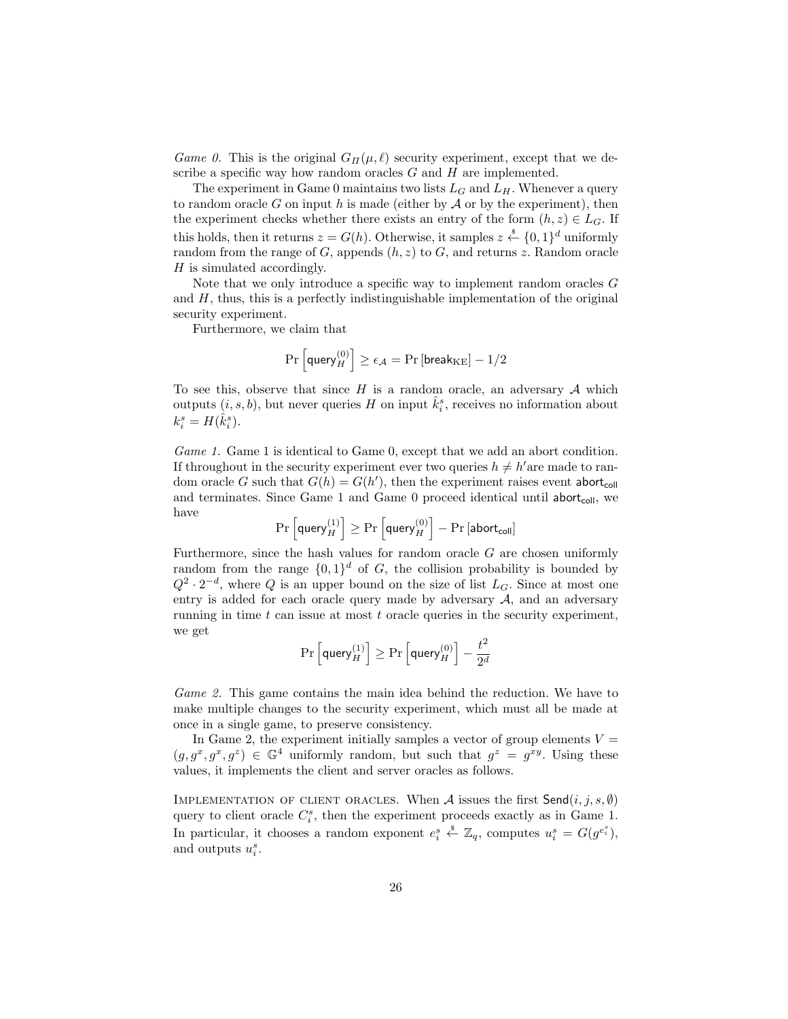Game 0. This is the original  $G_{\Pi}(\mu, \ell)$  security experiment, except that we describe a specific way how random oracles  $G$  and  $H$  are implemented.

The experiment in Game 0 maintains two lists  $L_G$  and  $L_H$ . Whenever a query to random oracle G on input h is made (either by  $A$  or by the experiment), then the experiment checks whether there exists an entry of the form  $(h, z) \in L_G$ . If this holds, then it returns  $z = G(h)$ . Otherwise, it samples  $z \stackrel{\$}{\leftarrow} \{0,1\}^d$  uniformly random from the range of  $G$ , appends  $(h, z)$  to  $G$ , and returns z. Random oracle H is simulated accordingly.

Note that we only introduce a specific way to implement random oracles G and  $H$ , thus, this is a perfectly indistinguishable implementation of the original security experiment.

Furthermore, we claim that

$$
\Pr\left[\mathsf{query}_H^{(0)}\right] \ge \epsilon_{\mathcal{A}} = \Pr\left[\mathsf{break}_{\mathrm{KE}}\right] - 1/2
$$

To see this, observe that since  $H$  is a random oracle, an adversary  $A$  which outputs  $(i, s, b)$ , but never queries H on input  $\hat{k}_i^s$ , receives no information about  $k_i^s = H(\hat{k}_i^s).$ 

Game 1. Game 1 is identical to Game 0, except that we add an abort condition. If throughout in the security experiment ever two queries  $h \neq h'$  are made to random oracle G such that  $G(h) = G(h')$ , then the experiment raises event abort<sub>coll</sub> and terminates. Since Game 1 and Game 0 proceed identical until abort<sub>coll</sub>, we have

$$
\Pr\left[\mathsf{query}_H^{(1)}\right] \ge \Pr\left[\mathsf{query}_H^{(0)}\right] - \Pr\left[\mathsf{abort}_{\mathsf{coll}}\right]
$$

Furthermore, since the hash values for random oracle  $G$  are chosen uniformly random from the range  $\{0,1\}^d$  of G, the collision probability is bounded by  $Q^2 \cdot 2^{-d}$ , where Q is an upper bound on the size of list  $L_G$ . Since at most one entry is added for each oracle query made by adversary  $A$ , and an adversary running in time  $t$  can issue at most  $t$  oracle queries in the security experiment, we get

$$
\Pr\left[\mathsf{query}_{H}^{(1)}\right] \geq \Pr\left[\mathsf{query}_{H}^{(0)}\right] - \frac{t^2}{2^d}
$$

Game 2. This game contains the main idea behind the reduction. We have to make multiple changes to the security experiment, which must all be made at once in a single game, to preserve consistency.

In Game 2, the experiment initially samples a vector of group elements  $V =$  $(g, g^x, g^z) \in \mathbb{G}^4$  uniformly random, but such that  $g^z = g^{xy}$ . Using these values, it implements the client and server oracles as follows.

IMPLEMENTATION OF CLIENT ORACLES. When A issues the first  $\mathsf{Send}(i, j, s, \emptyset)$ query to client oracle  $C_i^s$ , then the experiment proceeds exactly as in Game 1. In particular, it chooses a random exponent  $e_i^s \stackrel{\$}{\leftarrow} \mathbb{Z}_q$ , computes  $u_i^s = G(g^{e_i^s})$ , and outputs  $u_i^s$ .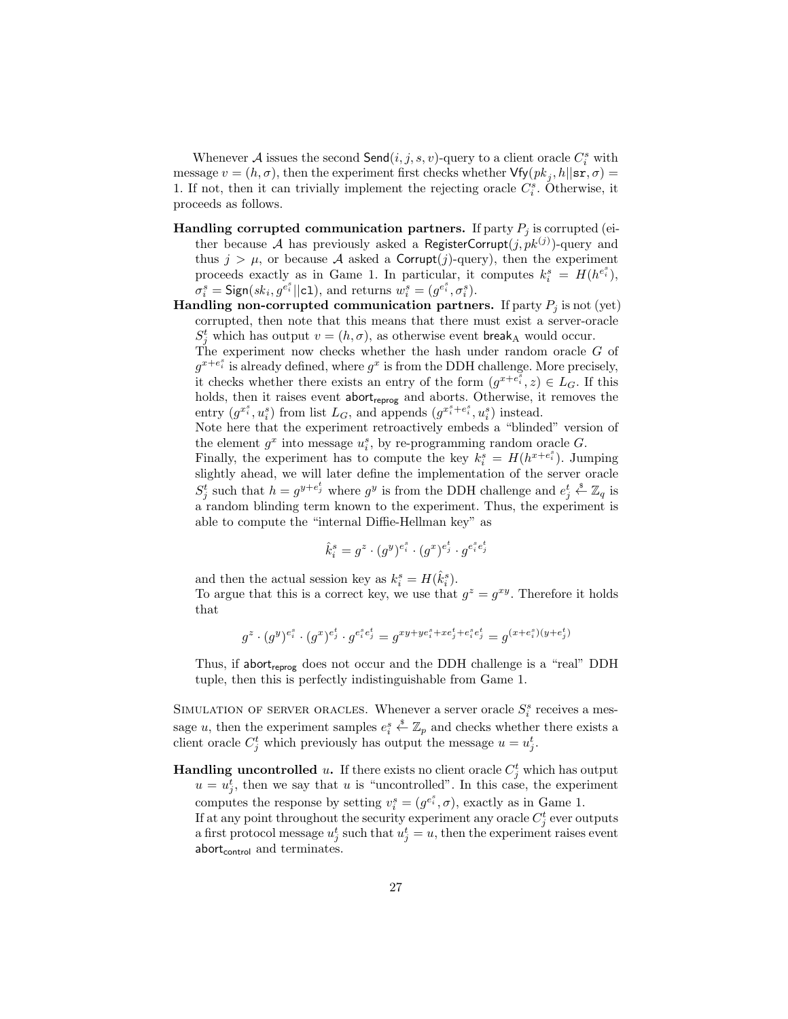Whenever  $\mathcal A$  issues the second  $\mathsf{Send}(i,j,s,v)$ -query to a client oracle  $C_i^s$  with message  $v = (h, \sigma)$ , then the experiment first checks whether  $\mathsf{Vfy}(pk_j, h||sr, \sigma) =$ 1. If not, then it can trivially implement the rejecting oracle  $C_i^s$ . Otherwise, it proceeds as follows.

- **Handling corrupted communication partners.** If party  $P_j$  is corrupted (either because A has previously asked a RegisterCorrupt $(j, pk^{(j)})$ -query and thus  $j > \mu$ , or because A asked a Corrupt(j)-query), then the experiment proceeds exactly as in Game 1. In particular, it computes  $k_i^s = H(h^{e_i^s}),$  $\sigma_i^s = \mathsf{Sign}(sk_i, g^{e_i^s} || \textsf{cl}),$  and returns  $w_i^s = (g^{e_i^s}, \sigma_i^s).$
- **Handling non-corrupted communication partners.** If party  $P_i$  is not (yet) corrupted, then note that this means that there must exist a server-oracle  $S_j^t$  which has output  $v = (h, \sigma)$ , as otherwise event break<sub>A</sub> would occur.

The experiment now checks whether the hash under random oracle G of  $g^{x+e_i^s}$  is already defined, where  $g^x$  is from the DDH challenge. More precisely, it checks whether there exists an entry of the form  $(g^{x+e_i^s}, z) \in L_G$ . If this holds, then it raises event  $abort_{reprog}$  and aborts. Otherwise, it removes the entry  $(g^{x_i^s}, u_i^s)$  from list  $L_G$ , and appends  $(g^{x_i^s + e_i^s}, u_i^s)$  instead.

Note here that the experiment retroactively embeds a "blinded" version of the element  $g^x$  into message  $u_i^s$ , by re-programming random oracle G.

Finally, the experiment has to compute the key  $k_i^s = H(h^{x+e_i^s})$ . Jumping slightly ahead, we will later define the implementation of the server oracle  $S_j^t$  such that  $h = g^{y+e^t_j}$  where  $g^y$  is from the DDH challenge and  $e^t_j \stackrel{\$}{\leftarrow} \mathbb{Z}_q$  is a random blinding term known to the experiment. Thus, the experiment is able to compute the "internal Diffie-Hellman key" as

$$
\hat{k}_i^s = g^z \cdot (g^y)^{e_i^s} \cdot (g^x)^{e_j^t} \cdot g^{e_i^s e_j^t}
$$

and then the actual session key as  $k_i^s = H(\hat{k}_i^s)$ .

To argue that this is a correct key, we use that  $g^z = g^{xy}$ . Therefore it holds that

$$
g^z \cdot (g^y)^{e^s_i} \cdot (g^x)^{e^t_j} \cdot g^{e^s_i e^t_j} = g^{xy + y e^s_i + x e^t_j + e^s_i e^t_j} = g^{(x + e^s_i)(y + e^t_j)}
$$

Thus, if abort<sub>reprog</sub> does not occur and the DDH challenge is a "real" DDH tuple, then this is perfectly indistinguishable from Game 1.

SIMULATION OF SERVER ORACLES. Whenever a server oracle  $S_i^s$  receives a message u, then the experiment samples  $e_i^s \stackrel{\hspace{0.1em}\mathsf{\scriptscriptstyle\$}}{\leftarrow} \mathbb{Z}_p$  and checks whether there exists a client oracle  $C_j^t$  which previously has output the message  $u = u_j^t$ .

**Handling uncontrolled** u. If there exists no client oracle  $C_j^t$  which has output  $u = u_j^t$ , then we say that u is "uncontrolled". In this case, the experiment computes the response by setting  $v_i^s = (g^{e_i^s}, \sigma)$ , exactly as in Game 1. If at any point throughout the security experiment any oracle  $C_j^t$  ever outputs

a first protocol message  $u_j^t$  such that  $u_j^t = u$ , then the experiment raises event abort<sub>control</sub> and terminates.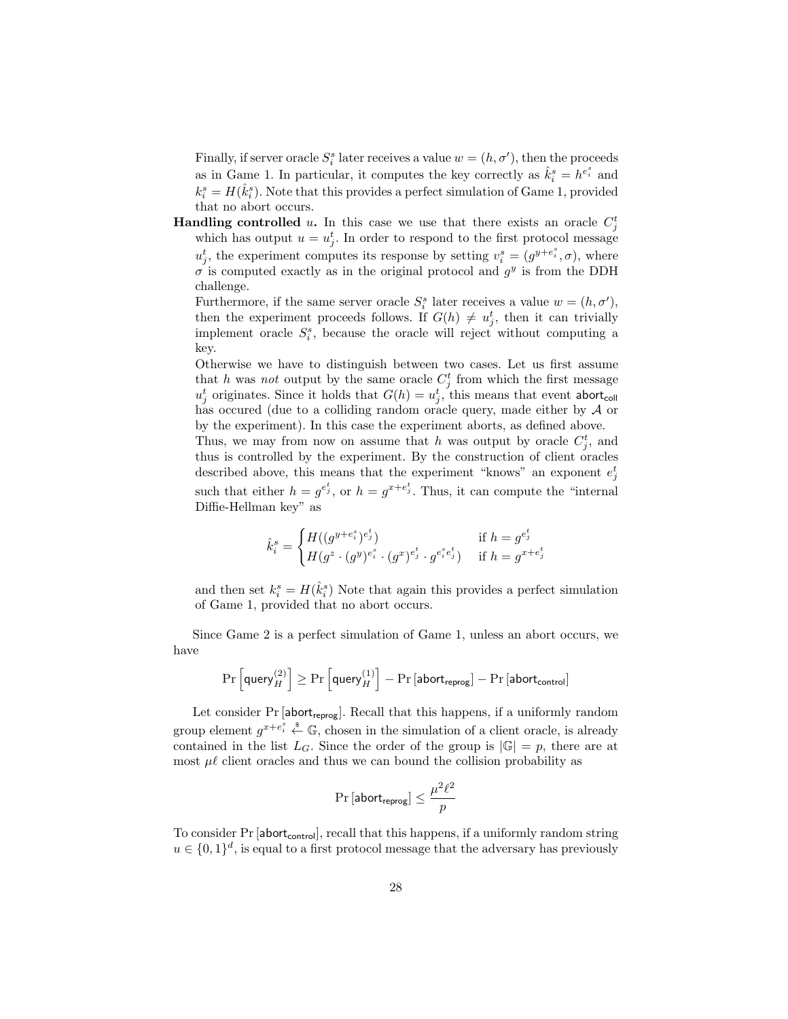Finally, if server oracle  $S_i^s$  later receives a value  $w = (h, \sigma')$ , then the proceeds as in Game 1. In particular, it computes the key correctly as  $\hat{k}_i^s = h^{e_i^s}$  and  $k_i^s = H(\hat{k}_i^s)$ . Note that this provides a perfect simulation of Game 1, provided that no abort occurs.

**Handling controlled** u. In this case we use that there exists an oracle  $C_j^t$ which has output  $u = u_j^t$ . In order to respond to the first protocol message  $u_j^t$ , the experiment computes its response by setting  $v_i^s = (g^{y+e_i^s}, \sigma)$ , where  $\sigma$  is computed exactly as in the original protocol and  $g<sup>y</sup>$  is from the DDH challenge.

Furthermore, if the same server oracle  $S_i^s$  later receives a value  $w = (h, \sigma')$ , then the experiment proceeds follows. If  $G(h) \neq u_j^t$ , then it can trivially implement oracle  $S_i^s$ , because the oracle will reject without computing a key.

Otherwise we have to distinguish between two cases. Let us first assume that h was not output by the same oracle  $C_j^t$  from which the first message  $u_j^t$  originates. Since it holds that  $G(h) = u_j^t$ , this means that event abort<sub>coll</sub> has occured (due to a colliding random oracle query, made either by A or by the experiment). In this case the experiment aborts, as defined above.

Thus, we may from now on assume that h was output by oracle  $C_j^t$ , and thus is controlled by the experiment. By the construction of client oracles described above, this means that the experiment "knows" an exponent  $e_j^t$ such that either  $h = g^{e^t_j}$ , or  $h = g^{x+e^t_j}$ . Thus, it can compute the "internal Diffie-Hellman key" as

$$
\hat{k}_i^s = \begin{cases} H((g^{y+e_i^s})^{e_j^t}) & \text{if } h = g^{e_j^t} \\ H(g^z \cdot (g^y)^{e_i^s} \cdot (g^x)^{e_j^t} \cdot g^{e_i^s e_j^t}) & \text{if } h = g^{x+e_j^t} \end{cases}
$$

and then set  $k_i^s = H(\hat{k}_i^s)$  Note that again this provides a perfect simulation of Game 1, provided that no abort occurs.

Since Game 2 is a perfect simulation of Game 1, unless an abort occurs, we have

$$
\Pr\left[\mathsf{query}_{H}^{(2)}\right] \geq \Pr\left[\mathsf{query}_{H}^{(1)}\right] - \Pr\left[\mathsf{abort}_{\mathsf{reprog}}\right] - \Pr\left[\mathsf{abort}_{\mathsf{control}}\right]
$$

Let consider  $Pr$  [abort<sub>reprog</sub>]. Recall that this happens, if a uniformly random group element  $g^{x+e_i^s} \stackrel{\hspace{0.1em}\mathsf{\scriptscriptstyle\$}}{\leftarrow} \mathbb{G}$ , chosen in the simulation of a client oracle, is already contained in the list  $L_G$ . Since the order of the group is  $|\mathbb{G}| = p$ , there are at most  $\mu\ell$  client oracles and thus we can bound the collision probability as

$$
\Pr\left[\mathsf{abort}_\mathsf{reprog}\right] \leq \frac{\mu^2\ell^2}{p}
$$

To consider Pr [abort<sub>control</sub>], recall that this happens, if a uniformly random string  $u \in \{0,1\}^d$ , is equal to a first protocol message that the adversary has previously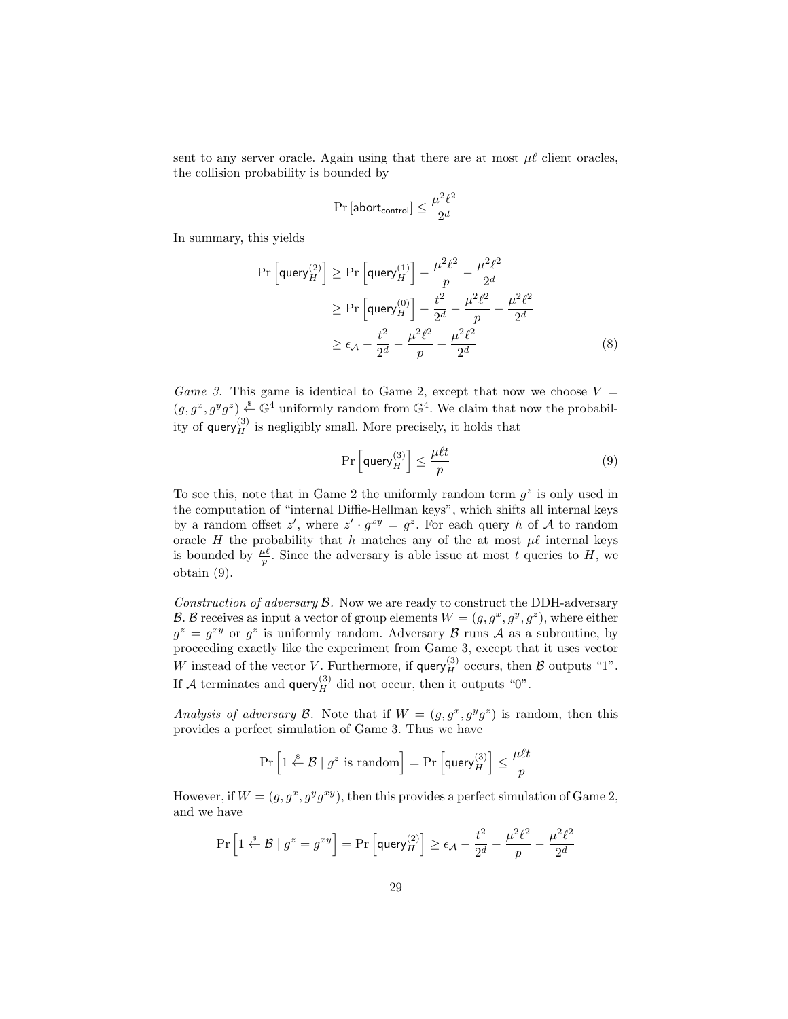sent to any server oracle. Again using that there are at most  $\mu\ell$  client oracles, the collision probability is bounded by

$$
\Pr\left[\mathsf{abort}_{\mathsf{control}}\right] \leq \frac{\mu^2\ell^2}{2^d}
$$

In summary, this yields

$$
\Pr\left[\text{query}_H^{(2)}\right] \ge \Pr\left[\text{query}_H^{(1)}\right] - \frac{\mu^2 \ell^2}{p} - \frac{\mu^2 \ell^2}{2^d}
$$
\n
$$
\ge \Pr\left[\text{query}_H^{(0)}\right] - \frac{t^2}{2^d} - \frac{\mu^2 \ell^2}{p} - \frac{\mu^2 \ell^2}{2^d}
$$
\n
$$
\ge \epsilon_{\mathcal{A}} - \frac{t^2}{2^d} - \frac{\mu^2 \ell^2}{p} - \frac{\mu^2 \ell^2}{2^d} \tag{8}
$$

*Game 3.* This game is identical to Game 2, except that now we choose  $V =$  $(g, g^x, g^y g^z) \stackrel{\hspace{0.1em}\mathsf{\scriptscriptstyle\$}}{\leftarrow} \mathbb{G}^4$  uniformly random from  $\mathbb{G}^4$ . We claim that now the probability of  $\mathsf{query}_H^{(3)}$  is negligibly small. More precisely, it holds that

$$
\Pr\left[\text{query}_{H}^{(3)}\right] \le \frac{\mu\ell t}{p} \tag{9}
$$

To see this, note that in Game 2 the uniformly random term  $g^z$  is only used in the computation of "internal Diffie-Hellman keys", which shifts all internal keys by a random offset z', where  $z' \cdot g^{xy} = g^z$ . For each query h of A to random oracle H the probability that h matches any of the at most  $\mu\ell$  internal keys is bounded by  $\frac{\mu\ell}{p}$ . Since the adversary is able issue at most t queries to H, we obtain (9).

Construction of adversary  $\mathcal B$ . Now we are ready to construct the DDH-adversary B. B receives as input a vector of group elements  $W = (g, g^x, g^y, g^z)$ , where either  $g^z = g^{xy}$  or  $g^z$  is uniformly random. Adversary  $\beta$  runs  $\mathcal A$  as a subroutine, by proceeding exactly like the experiment from Game 3, except that it uses vector W instead of the vector V. Furthermore, if  $\mathsf{query}_H^{(3)}$  occurs, then B outputs "1". If A terminates and  $\mathsf{query}_H^{(3)}$  did not occur, then it outputs "0".

Analysis of adversary B. Note that if  $W = (g, g^x, g^y g^z)$  is random, then this provides a perfect simulation of Game 3. Thus we have

$$
\Pr\left[1 \stackrel{\$}{\leftarrow} \mathcal{B} \mid g^z \text{ is random}\right] = \Pr\left[\text{query}_H^{(3)}\right] \le \frac{\mu \ell t}{p}
$$

However, if  $W = (g, g^x, g^y g^{xy})$ , then this provides a perfect simulation of Game 2, and we have

$$
\Pr\left[1 \stackrel{\$}{\leftarrow} \mathcal{B} \mid g^z = g^{xy}\right] = \Pr\left[\mathsf{query}_H^{(2)}\right] \ge \epsilon_{\mathcal{A}} - \frac{t^2}{2^d} - \frac{\mu^2 \ell^2}{p} - \frac{\mu^2 \ell^2}{2^d}
$$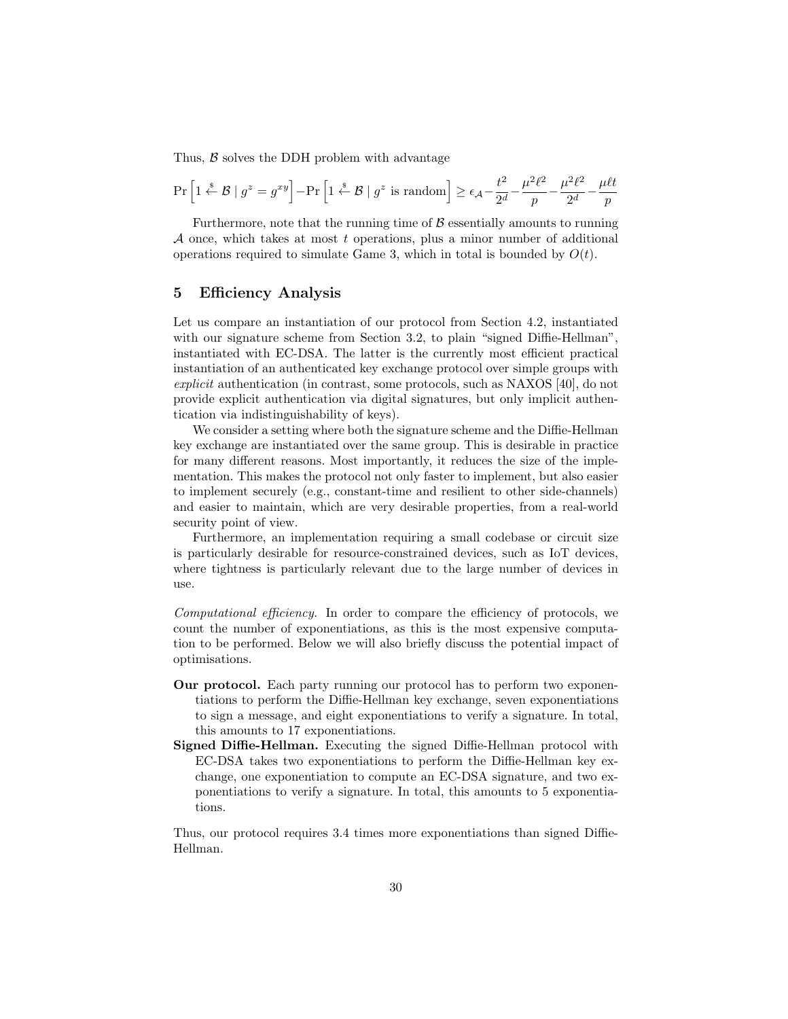Thus,  $\beta$  solves the DDH problem with advantage

$$
\Pr\left[1 \stackrel{\$}{\leftarrow} \mathcal{B} \mid g^z = g^{xy}\right] - \Pr\left[1 \stackrel{\$}{\leftarrow} \mathcal{B} \mid g^z \text{ is random}\right] \ge \epsilon_{\mathcal{A}} - \frac{t^2}{2^d} - \frac{\mu^2 \ell^2}{p} - \frac{\mu^2 \ell^2}{2^d} - \frac{\mu \ell t}{p}
$$

Furthermore, note that the running time of  $\beta$  essentially amounts to running  $A$  once, which takes at most  $t$  operations, plus a minor number of additional operations required to simulate Game 3, which in total is bounded by  $O(t)$ .

## 5 Efficiency Analysis

Let us compare an instantiation of our protocol from Section 4.2, instantiated with our signature scheme from Section 3.2, to plain "signed Diffie-Hellman", instantiated with EC-DSA. The latter is the currently most efficient practical instantiation of an authenticated key exchange protocol over simple groups with explicit authentication (in contrast, some protocols, such as NAXOS [40], do not provide explicit authentication via digital signatures, but only implicit authentication via indistinguishability of keys).

We consider a setting where both the signature scheme and the Diffie-Hellman key exchange are instantiated over the same group. This is desirable in practice for many different reasons. Most importantly, it reduces the size of the implementation. This makes the protocol not only faster to implement, but also easier to implement securely (e.g., constant-time and resilient to other side-channels) and easier to maintain, which are very desirable properties, from a real-world security point of view.

Furthermore, an implementation requiring a small codebase or circuit size is particularly desirable for resource-constrained devices, such as IoT devices, where tightness is particularly relevant due to the large number of devices in use.

Computational efficiency. In order to compare the efficiency of protocols, we count the number of exponentiations, as this is the most expensive computation to be performed. Below we will also briefly discuss the potential impact of optimisations.

- Our protocol. Each party running our protocol has to perform two exponentiations to perform the Diffie-Hellman key exchange, seven exponentiations to sign a message, and eight exponentiations to verify a signature. In total, this amounts to 17 exponentiations.
- Signed Diffie-Hellman. Executing the signed Diffie-Hellman protocol with EC-DSA takes two exponentiations to perform the Diffie-Hellman key exchange, one exponentiation to compute an EC-DSA signature, and two exponentiations to verify a signature. In total, this amounts to 5 exponentiations.

Thus, our protocol requires 3.4 times more exponentiations than signed Diffie-Hellman.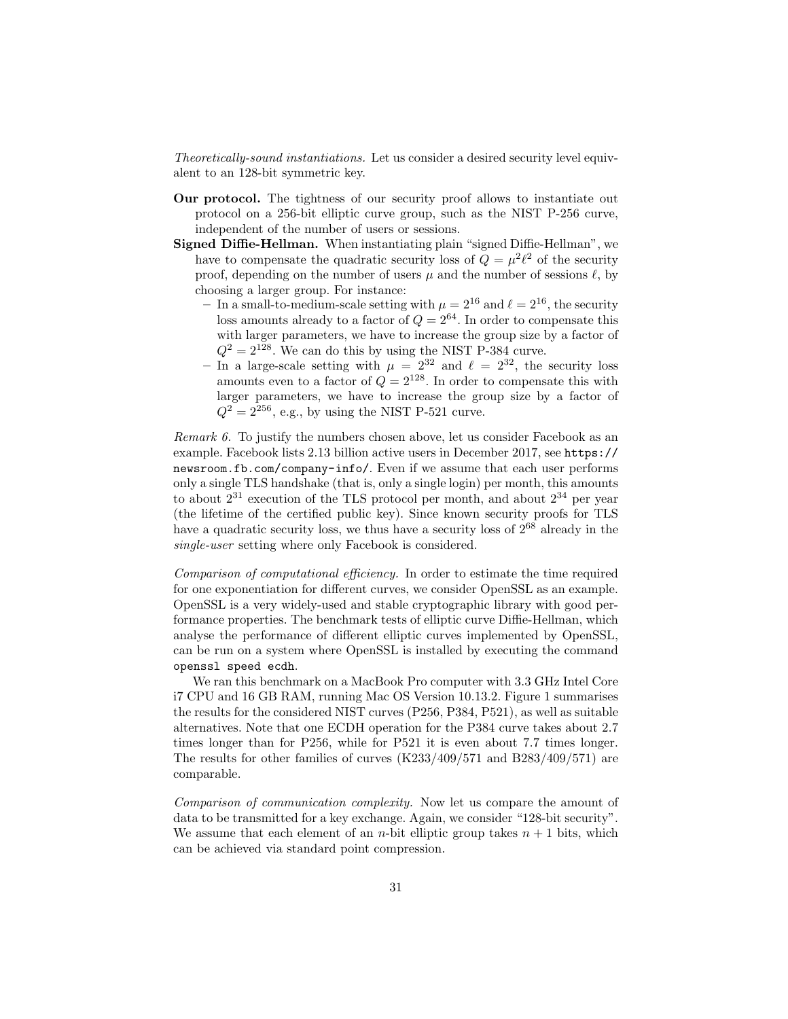Theoretically-sound instantiations. Let us consider a desired security level equivalent to an 128-bit symmetric key.

- Our protocol. The tightness of our security proof allows to instantiate out protocol on a 256-bit elliptic curve group, such as the NIST P-256 curve, independent of the number of users or sessions.
- Signed Diffie-Hellman. When instantiating plain "signed Diffie-Hellman", we have to compensate the quadratic security loss of  $Q = \mu^2 \ell^2$  of the security proof, depending on the number of users  $\mu$  and the number of sessions  $\ell$ , by choosing a larger group. For instance:
	- In a small-to-medium-scale setting with  $\mu = 2^{16}$  and  $\ell = 2^{16}$ , the security loss amounts already to a factor of  $Q = 2^{64}$ . In order to compensate this with larger parameters, we have to increase the group size by a factor of  $Q^2 = 2^{128}$ . We can do this by using the NIST P-384 curve.
	- In a large-scale setting with  $\mu = 2^{32}$  and  $\ell = 2^{32}$ , the security loss amounts even to a factor of  $Q = 2^{128}$ . In order to compensate this with larger parameters, we have to increase the group size by a factor of  $Q^2 = 2^{256}$ , e.g., by using the NIST P-521 curve.

Remark 6. To justify the numbers chosen above, let us consider Facebook as an example. Facebook lists 2.13 billion active users in December 2017, see https:// newsroom.fb.com/company-info/. Even if we assume that each user performs only a single TLS handshake (that is, only a single login) per month, this amounts to about  $2^{31}$  execution of the TLS protocol per month, and about  $2^{34}$  per year (the lifetime of the certified public key). Since known security proofs for TLS have a quadratic security loss, we thus have a security loss of  $2^{68}$  already in the single-user setting where only Facebook is considered.

Comparison of computational efficiency. In order to estimate the time required for one exponentiation for different curves, we consider OpenSSL as an example. OpenSSL is a very widely-used and stable cryptographic library with good performance properties. The benchmark tests of elliptic curve Diffie-Hellman, which analyse the performance of different elliptic curves implemented by OpenSSL, can be run on a system where OpenSSL is installed by executing the command openssl speed ecdh.

We ran this benchmark on a MacBook Pro computer with 3.3 GHz Intel Core i7 CPU and 16 GB RAM, running Mac OS Version 10.13.2. Figure 1 summarises the results for the considered NIST curves (P256, P384, P521), as well as suitable alternatives. Note that one ECDH operation for the P384 curve takes about 2.7 times longer than for P256, while for P521 it is even about 7.7 times longer. The results for other families of curves (K233/409/571 and B283/409/571) are comparable.

Comparison of communication complexity. Now let us compare the amount of data to be transmitted for a key exchange. Again, we consider "128-bit security". We assume that each element of an *n*-bit elliptic group takes  $n + 1$  bits, which can be achieved via standard point compression.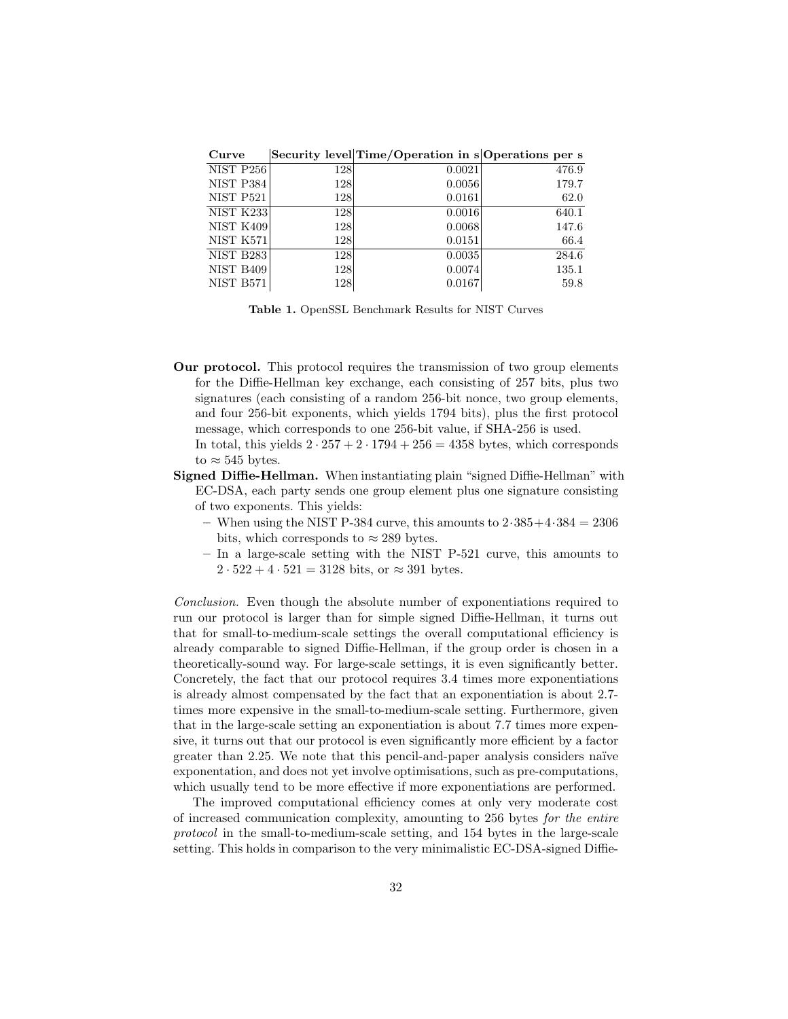| Curve     |     | Security level Time/Operation in s Operations per s |       |
|-----------|-----|-----------------------------------------------------|-------|
| NIST P256 | 128 | 0.0021                                              | 476.9 |
| NIST P384 | 128 | 0.0056                                              | 179.7 |
| NIST P521 | 128 | 0.0161                                              | 62.0  |
| NIST K233 | 128 | 0.0016                                              | 640.1 |
| NIST K409 | 128 | 0.0068                                              | 147.6 |
| NIST K571 | 128 | 0.0151                                              | 66.4  |
| NIST B283 | 128 | 0.0035                                              | 284.6 |
| NIST B409 | 128 | 0.0074                                              | 135.1 |
| NIST B571 | 128 | 0.0167                                              | 59.8  |

Table 1. OpenSSL Benchmark Results for NIST Curves

- Our protocol. This protocol requires the transmission of two group elements for the Diffie-Hellman key exchange, each consisting of 257 bits, plus two signatures (each consisting of a random 256-bit nonce, two group elements, and four 256-bit exponents, which yields 1794 bits), plus the first protocol message, which corresponds to one 256-bit value, if SHA-256 is used. In total, this yields  $2 \cdot 257 + 2 \cdot 1794 + 256 = 4358$  bytes, which corresponds
- Signed Diffie-Hellman. When instantiating plain "signed Diffie-Hellman" with EC-DSA, each party sends one group element plus one signature consisting of two exponents. This yields:

to  $\approx$  545 bytes.

- When using the NIST P-384 curve, this amounts to  $2.385+4.384=2306$ bits, which corresponds to  $\approx 289$  bytes.
- In a large-scale setting with the NIST P-521 curve, this amounts to  $2 \cdot 522 + 4 \cdot 521 = 3128$  bits, or  $\approx 391$  bytes.

Conclusion. Even though the absolute number of exponentiations required to run our protocol is larger than for simple signed Diffie-Hellman, it turns out that for small-to-medium-scale settings the overall computational efficiency is already comparable to signed Diffie-Hellman, if the group order is chosen in a theoretically-sound way. For large-scale settings, it is even significantly better. Concretely, the fact that our protocol requires 3.4 times more exponentiations is already almost compensated by the fact that an exponentiation is about 2.7 times more expensive in the small-to-medium-scale setting. Furthermore, given that in the large-scale setting an exponentiation is about 7.7 times more expensive, it turns out that our protocol is even significantly more efficient by a factor greater than 2.25. We note that this pencil-and-paper analysis considers naïve exponentation, and does not yet involve optimisations, such as pre-computations, which usually tend to be more effective if more exponentiations are performed.

The improved computational efficiency comes at only very moderate cost of increased communication complexity, amounting to 256 bytes for the entire protocol in the small-to-medium-scale setting, and 154 bytes in the large-scale setting. This holds in comparison to the very minimalistic EC-DSA-signed Diffie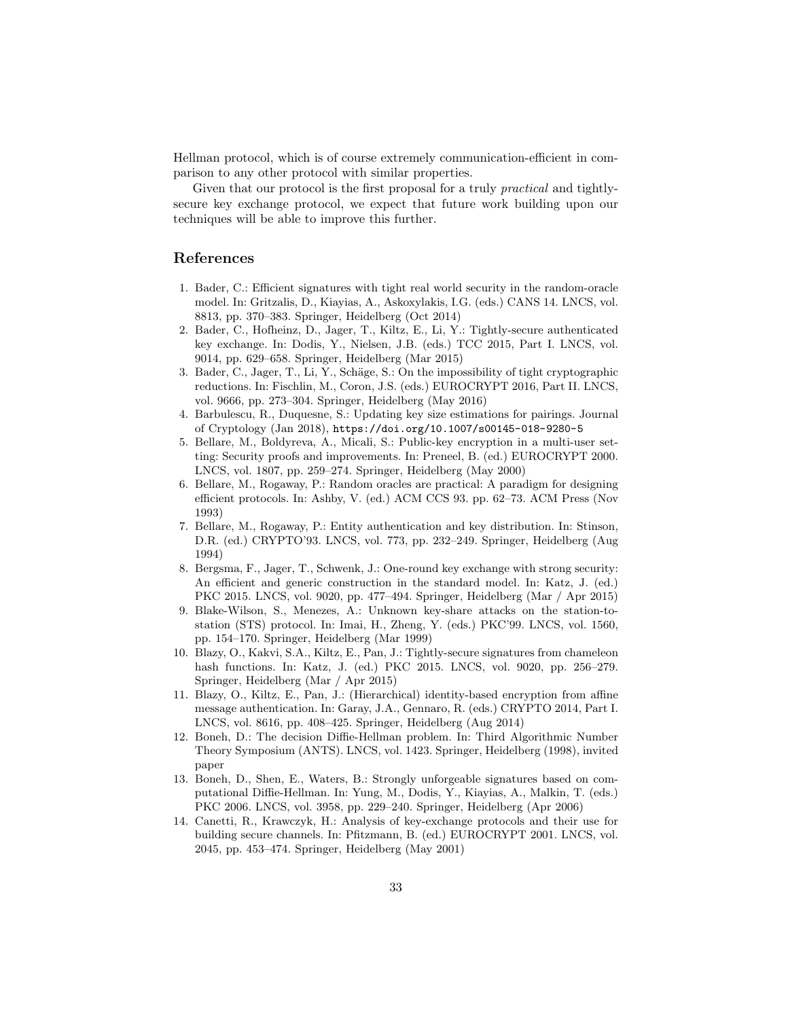Hellman protocol, which is of course extremely communication-efficient in comparison to any other protocol with similar properties.

Given that our protocol is the first proposal for a truly *practical* and tightlysecure key exchange protocol, we expect that future work building upon our techniques will be able to improve this further.

## References

- 1. Bader, C.: Efficient signatures with tight real world security in the random-oracle model. In: Gritzalis, D., Kiayias, A., Askoxylakis, I.G. (eds.) CANS 14. LNCS, vol. 8813, pp. 370–383. Springer, Heidelberg (Oct 2014)
- 2. Bader, C., Hofheinz, D., Jager, T., Kiltz, E., Li, Y.: Tightly-secure authenticated key exchange. In: Dodis, Y., Nielsen, J.B. (eds.) TCC 2015, Part I. LNCS, vol. 9014, pp. 629–658. Springer, Heidelberg (Mar 2015)
- 3. Bader, C., Jager, T., Li, Y., Schäge, S.: On the impossibility of tight cryptographic reductions. In: Fischlin, M., Coron, J.S. (eds.) EUROCRYPT 2016, Part II. LNCS, vol. 9666, pp. 273–304. Springer, Heidelberg (May 2016)
- 4. Barbulescu, R., Duquesne, S.: Updating key size estimations for pairings. Journal of Cryptology (Jan 2018), https://doi.org/10.1007/s00145-018-9280-5
- 5. Bellare, M., Boldyreva, A., Micali, S.: Public-key encryption in a multi-user setting: Security proofs and improvements. In: Preneel, B. (ed.) EUROCRYPT 2000. LNCS, vol. 1807, pp. 259–274. Springer, Heidelberg (May 2000)
- 6. Bellare, M., Rogaway, P.: Random oracles are practical: A paradigm for designing efficient protocols. In: Ashby, V. (ed.) ACM CCS 93. pp. 62–73. ACM Press (Nov 1993)
- 7. Bellare, M., Rogaway, P.: Entity authentication and key distribution. In: Stinson, D.R. (ed.) CRYPTO'93. LNCS, vol. 773, pp. 232–249. Springer, Heidelberg (Aug 1994)
- 8. Bergsma, F., Jager, T., Schwenk, J.: One-round key exchange with strong security: An efficient and generic construction in the standard model. In: Katz, J. (ed.) PKC 2015. LNCS, vol. 9020, pp. 477–494. Springer, Heidelberg (Mar / Apr 2015)
- 9. Blake-Wilson, S., Menezes, A.: Unknown key-share attacks on the station-tostation (STS) protocol. In: Imai, H., Zheng, Y. (eds.) PKC'99. LNCS, vol. 1560, pp. 154–170. Springer, Heidelberg (Mar 1999)
- 10. Blazy, O., Kakvi, S.A., Kiltz, E., Pan, J.: Tightly-secure signatures from chameleon hash functions. In: Katz, J. (ed.) PKC 2015. LNCS, vol. 9020, pp. 256–279. Springer, Heidelberg (Mar / Apr 2015)
- 11. Blazy, O., Kiltz, E., Pan, J.: (Hierarchical) identity-based encryption from affine message authentication. In: Garay, J.A., Gennaro, R. (eds.) CRYPTO 2014, Part I. LNCS, vol. 8616, pp. 408–425. Springer, Heidelberg (Aug 2014)
- 12. Boneh, D.: The decision Diffie-Hellman problem. In: Third Algorithmic Number Theory Symposium (ANTS). LNCS, vol. 1423. Springer, Heidelberg (1998), invited paper
- 13. Boneh, D., Shen, E., Waters, B.: Strongly unforgeable signatures based on computational Diffie-Hellman. In: Yung, M., Dodis, Y., Kiayias, A., Malkin, T. (eds.) PKC 2006. LNCS, vol. 3958, pp. 229–240. Springer, Heidelberg (Apr 2006)
- 14. Canetti, R., Krawczyk, H.: Analysis of key-exchange protocols and their use for building secure channels. In: Pfitzmann, B. (ed.) EUROCRYPT 2001. LNCS, vol. 2045, pp. 453–474. Springer, Heidelberg (May 2001)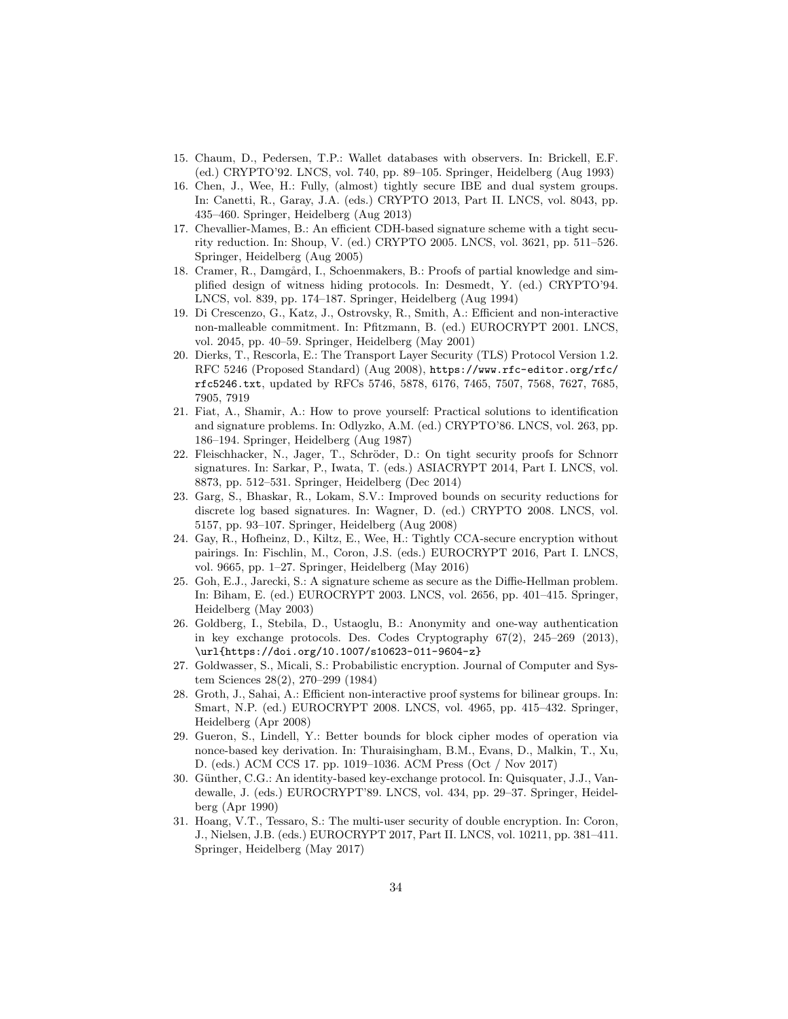- 15. Chaum, D., Pedersen, T.P.: Wallet databases with observers. In: Brickell, E.F. (ed.) CRYPTO'92. LNCS, vol. 740, pp. 89–105. Springer, Heidelberg (Aug 1993)
- 16. Chen, J., Wee, H.: Fully, (almost) tightly secure IBE and dual system groups. In: Canetti, R., Garay, J.A. (eds.) CRYPTO 2013, Part II. LNCS, vol. 8043, pp. 435–460. Springer, Heidelberg (Aug 2013)
- 17. Chevallier-Mames, B.: An efficient CDH-based signature scheme with a tight security reduction. In: Shoup, V. (ed.) CRYPTO 2005. LNCS, vol. 3621, pp. 511–526. Springer, Heidelberg (Aug 2005)
- 18. Cramer, R., Damgård, I., Schoenmakers, B.: Proofs of partial knowledge and simplified design of witness hiding protocols. In: Desmedt, Y. (ed.) CRYPTO'94. LNCS, vol. 839, pp. 174–187. Springer, Heidelberg (Aug 1994)
- 19. Di Crescenzo, G., Katz, J., Ostrovsky, R., Smith, A.: Efficient and non-interactive non-malleable commitment. In: Pfitzmann, B. (ed.) EUROCRYPT 2001. LNCS, vol. 2045, pp. 40–59. Springer, Heidelberg (May 2001)
- 20. Dierks, T., Rescorla, E.: The Transport Layer Security (TLS) Protocol Version 1.2. RFC 5246 (Proposed Standard) (Aug 2008), https://www.rfc-editor.org/rfc/ rfc5246.txt, updated by RFCs 5746, 5878, 6176, 7465, 7507, 7568, 7627, 7685, 7905, 7919
- 21. Fiat, A., Shamir, A.: How to prove yourself: Practical solutions to identification and signature problems. In: Odlyzko, A.M. (ed.) CRYPTO'86. LNCS, vol. 263, pp. 186–194. Springer, Heidelberg (Aug 1987)
- 22. Fleischhacker, N., Jager, T., Schröder, D.: On tight security proofs for Schnorr signatures. In: Sarkar, P., Iwata, T. (eds.) ASIACRYPT 2014, Part I. LNCS, vol. 8873, pp. 512–531. Springer, Heidelberg (Dec 2014)
- 23. Garg, S., Bhaskar, R., Lokam, S.V.: Improved bounds on security reductions for discrete log based signatures. In: Wagner, D. (ed.) CRYPTO 2008. LNCS, vol. 5157, pp. 93–107. Springer, Heidelberg (Aug 2008)
- 24. Gay, R., Hofheinz, D., Kiltz, E., Wee, H.: Tightly CCA-secure encryption without pairings. In: Fischlin, M., Coron, J.S. (eds.) EUROCRYPT 2016, Part I. LNCS, vol. 9665, pp. 1–27. Springer, Heidelberg (May 2016)
- 25. Goh, E.J., Jarecki, S.: A signature scheme as secure as the Diffie-Hellman problem. In: Biham, E. (ed.) EUROCRYPT 2003. LNCS, vol. 2656, pp. 401–415. Springer, Heidelberg (May 2003)
- 26. Goldberg, I., Stebila, D., Ustaoglu, B.: Anonymity and one-way authentication in key exchange protocols. Des. Codes Cryptography 67(2), 245–269 (2013), \url{https://doi.org/10.1007/s10623-011-9604-z}
- 27. Goldwasser, S., Micali, S.: Probabilistic encryption. Journal of Computer and System Sciences 28(2), 270–299 (1984)
- 28. Groth, J., Sahai, A.: Efficient non-interactive proof systems for bilinear groups. In: Smart, N.P. (ed.) EUROCRYPT 2008. LNCS, vol. 4965, pp. 415–432. Springer, Heidelberg (Apr 2008)
- 29. Gueron, S., Lindell, Y.: Better bounds for block cipher modes of operation via nonce-based key derivation. In: Thuraisingham, B.M., Evans, D., Malkin, T., Xu, D. (eds.) ACM CCS 17. pp. 1019–1036. ACM Press (Oct / Nov 2017)
- 30. Günther, C.G.: An identity-based key-exchange protocol. In: Quisquater, J.J., Vandewalle, J. (eds.) EUROCRYPT'89. LNCS, vol. 434, pp. 29–37. Springer, Heidelberg (Apr 1990)
- 31. Hoang, V.T., Tessaro, S.: The multi-user security of double encryption. In: Coron, J., Nielsen, J.B. (eds.) EUROCRYPT 2017, Part II. LNCS, vol. 10211, pp. 381–411. Springer, Heidelberg (May 2017)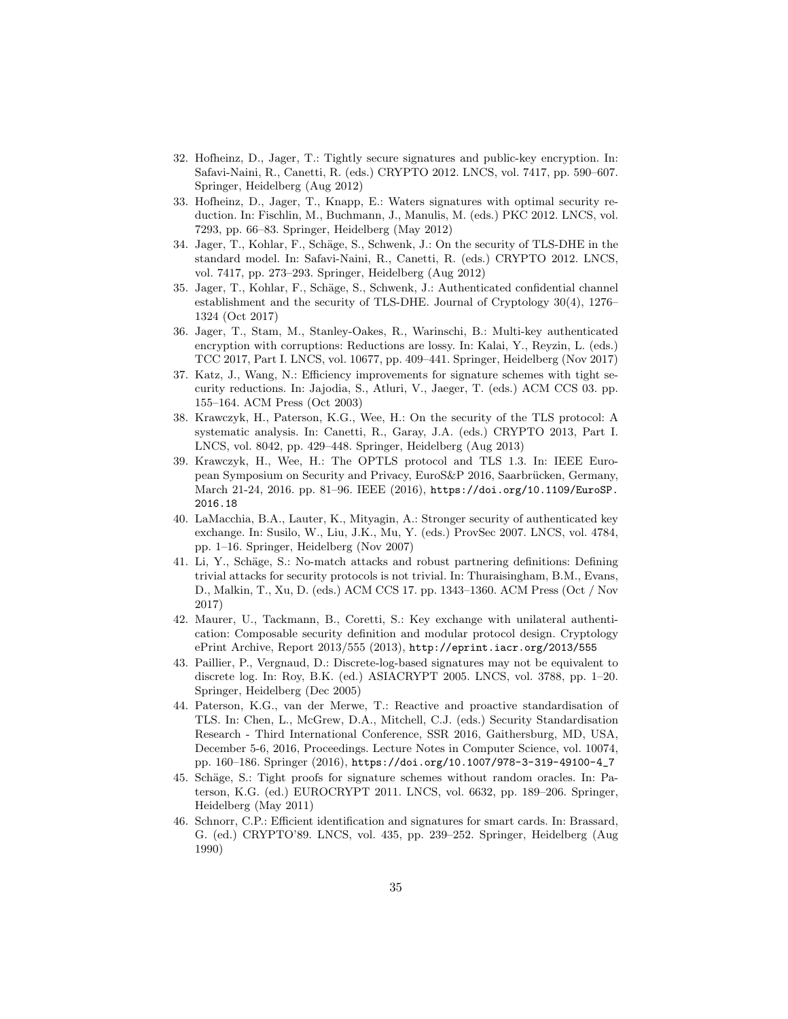- 32. Hofheinz, D., Jager, T.: Tightly secure signatures and public-key encryption. In: Safavi-Naini, R., Canetti, R. (eds.) CRYPTO 2012. LNCS, vol. 7417, pp. 590–607. Springer, Heidelberg (Aug 2012)
- 33. Hofheinz, D., Jager, T., Knapp, E.: Waters signatures with optimal security reduction. In: Fischlin, M., Buchmann, J., Manulis, M. (eds.) PKC 2012. LNCS, vol. 7293, pp. 66–83. Springer, Heidelberg (May 2012)
- 34. Jager, T., Kohlar, F., Schäge, S., Schwenk, J.: On the security of TLS-DHE in the standard model. In: Safavi-Naini, R., Canetti, R. (eds.) CRYPTO 2012. LNCS, vol. 7417, pp. 273–293. Springer, Heidelberg (Aug 2012)
- 35. Jager, T., Kohlar, F., Schäge, S., Schwenk, J.: Authenticated confidential channel establishment and the security of TLS-DHE. Journal of Cryptology 30(4), 1276– 1324 (Oct 2017)
- 36. Jager, T., Stam, M., Stanley-Oakes, R., Warinschi, B.: Multi-key authenticated encryption with corruptions: Reductions are lossy. In: Kalai, Y., Reyzin, L. (eds.) TCC 2017, Part I. LNCS, vol. 10677, pp. 409–441. Springer, Heidelberg (Nov 2017)
- 37. Katz, J., Wang, N.: Efficiency improvements for signature schemes with tight security reductions. In: Jajodia, S., Atluri, V., Jaeger, T. (eds.) ACM CCS 03. pp. 155–164. ACM Press (Oct 2003)
- 38. Krawczyk, H., Paterson, K.G., Wee, H.: On the security of the TLS protocol: A systematic analysis. In: Canetti, R., Garay, J.A. (eds.) CRYPTO 2013, Part I. LNCS, vol. 8042, pp. 429–448. Springer, Heidelberg (Aug 2013)
- 39. Krawczyk, H., Wee, H.: The OPTLS protocol and TLS 1.3. In: IEEE European Symposium on Security and Privacy, EuroS&P 2016, Saarbrücken, Germany, March 21-24, 2016. pp. 81–96. IEEE (2016), https://doi.org/10.1109/EuroSP. 2016.18
- 40. LaMacchia, B.A., Lauter, K., Mityagin, A.: Stronger security of authenticated key exchange. In: Susilo, W., Liu, J.K., Mu, Y. (eds.) ProvSec 2007. LNCS, vol. 4784, pp. 1–16. Springer, Heidelberg (Nov 2007)
- 41. Li, Y., Schäge, S.: No-match attacks and robust partnering definitions: Defining trivial attacks for security protocols is not trivial. In: Thuraisingham, B.M., Evans, D., Malkin, T., Xu, D. (eds.) ACM CCS 17. pp. 1343–1360. ACM Press (Oct / Nov 2017)
- 42. Maurer, U., Tackmann, B., Coretti, S.: Key exchange with unilateral authentication: Composable security definition and modular protocol design. Cryptology ePrint Archive, Report 2013/555 (2013), http://eprint.iacr.org/2013/555
- 43. Paillier, P., Vergnaud, D.: Discrete-log-based signatures may not be equivalent to discrete log. In: Roy, B.K. (ed.) ASIACRYPT 2005. LNCS, vol. 3788, pp. 1–20. Springer, Heidelberg (Dec 2005)
- 44. Paterson, K.G., van der Merwe, T.: Reactive and proactive standardisation of TLS. In: Chen, L., McGrew, D.A., Mitchell, C.J. (eds.) Security Standardisation Research - Third International Conference, SSR 2016, Gaithersburg, MD, USA, December 5-6, 2016, Proceedings. Lecture Notes in Computer Science, vol. 10074, pp. 160–186. Springer (2016), https://doi.org/10.1007/978-3-319-49100-4\_7
- 45. Schäge, S.: Tight proofs for signature schemes without random oracles. In: Paterson, K.G. (ed.) EUROCRYPT 2011. LNCS, vol. 6632, pp. 189–206. Springer, Heidelberg (May 2011)
- 46. Schnorr, C.P.: Efficient identification and signatures for smart cards. In: Brassard, G. (ed.) CRYPTO'89. LNCS, vol. 435, pp. 239–252. Springer, Heidelberg (Aug 1990)